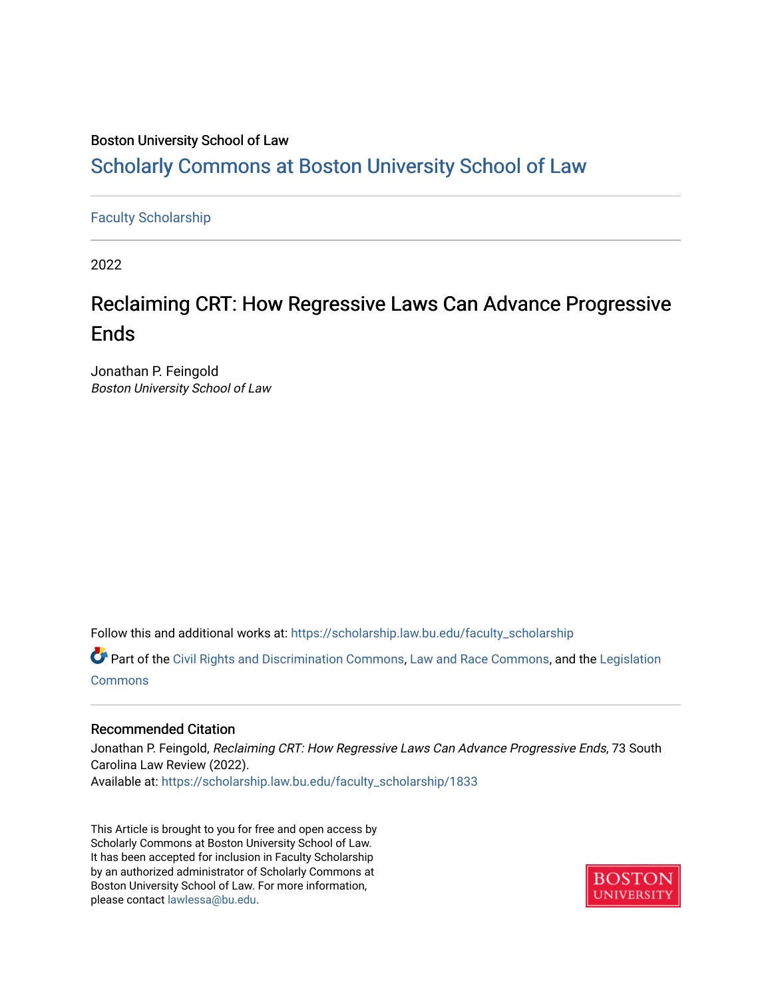# Boston University School of Law

# [Scholarly Commons at Boston University School of Law](https://scholarship.law.bu.edu/)

# [Faculty Scholarship](https://scholarship.law.bu.edu/faculty_scholarship)

2022

# Reclaiming CRT: How Regressive Laws Can Advance Progressive **Ends**

Jonathan P. Feingold Boston University School of Law

Follow this and additional works at: [https://scholarship.law.bu.edu/faculty\\_scholarship](https://scholarship.law.bu.edu/faculty_scholarship?utm_source=scholarship.law.bu.edu%2Ffaculty_scholarship%2F1833&utm_medium=PDF&utm_campaign=PDFCoverPages)

Part of the [Civil Rights and Discrimination Commons,](http://network.bepress.com/hgg/discipline/585?utm_source=scholarship.law.bu.edu%2Ffaculty_scholarship%2F1833&utm_medium=PDF&utm_campaign=PDFCoverPages) [Law and Race Commons,](http://network.bepress.com/hgg/discipline/1300?utm_source=scholarship.law.bu.edu%2Ffaculty_scholarship%2F1833&utm_medium=PDF&utm_campaign=PDFCoverPages) and the [Legislation](http://network.bepress.com/hgg/discipline/859?utm_source=scholarship.law.bu.edu%2Ffaculty_scholarship%2F1833&utm_medium=PDF&utm_campaign=PDFCoverPages)  **[Commons](http://network.bepress.com/hgg/discipline/859?utm_source=scholarship.law.bu.edu%2Ffaculty_scholarship%2F1833&utm_medium=PDF&utm_campaign=PDFCoverPages)** 

# Recommended Citation

Jonathan P. Feingold, Reclaiming CRT: How Regressive Laws Can Advance Progressive Ends, 73 South Carolina Law Review (2022). Available at: [https://scholarship.law.bu.edu/faculty\\_scholarship/1833](https://scholarship.law.bu.edu/faculty_scholarship/1833?utm_source=scholarship.law.bu.edu%2Ffaculty_scholarship%2F1833&utm_medium=PDF&utm_campaign=PDFCoverPages)

This Article is brought to you for free and open access by Scholarly Commons at Boston University School of Law. It has been accepted for inclusion in Faculty Scholarship by an authorized administrator of Scholarly Commons at Boston University School of Law. For more information, please contact [lawlessa@bu.edu](mailto:lawlessa@bu.edu).

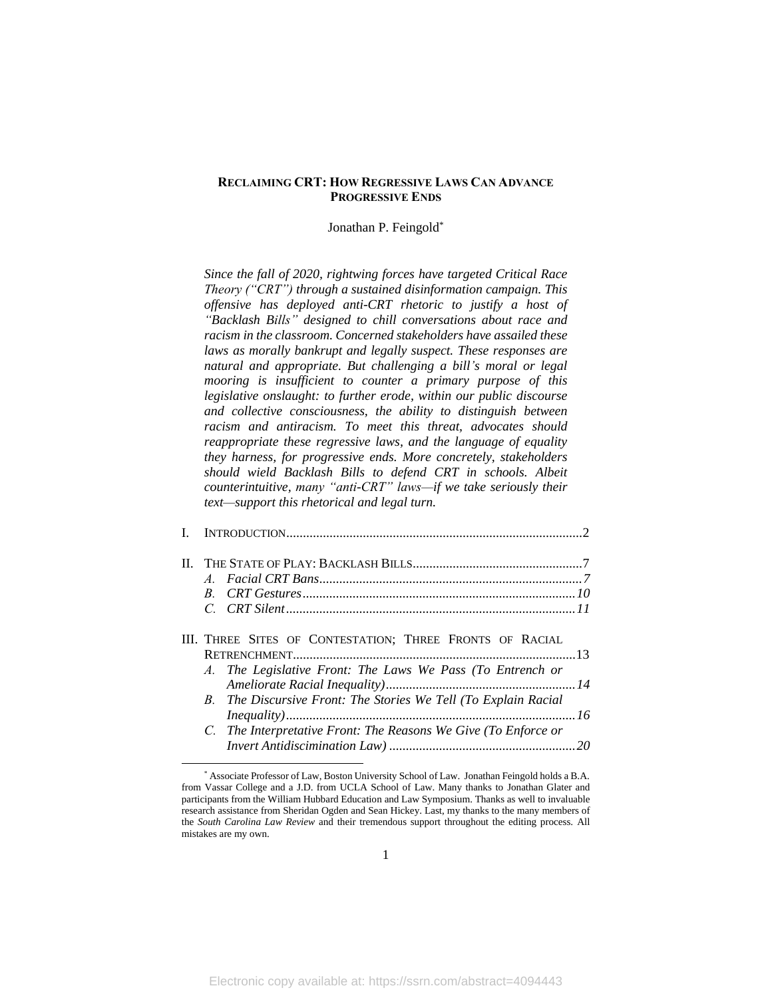# **RECLAIMING CRT: HOW REGRESSIVE LAWS CAN ADVANCE PROGRESSIVE ENDS**

## Jonathan P. Feingold\*

*Since the fall of 2020, rightwing forces have targeted Critical Race Theory ("CRT") through a sustained disinformation campaign. This offensive has deployed anti-CRT rhetoric to justify a host of "Backlash Bills" designed to chill conversations about race and racism in the classroom. Concerned stakeholders have assailed these laws as morally bankrupt and legally suspect. These responses are natural and appropriate. But challenging a bill's moral or legal mooring is insufficient to counter a primary purpose of this legislative onslaught: to further erode, within our public discourse and collective consciousness, the ability to distinguish between racism and antiracism. To meet this threat, advocates should reappropriate these regressive laws, and the language of equality they harness, for progressive ends. More concretely, stakeholders should wield Backlash Bills to defend CRT in schools. Albeit counterintuitive, many "anti-CRT" laws—if we take seriously their text—support this rhetorical and legal turn.*

| III. THREE SITES OF CONTESTATION; THREE FRONTS OF RACIAL<br>A. The Legislative Front: The Laws We Pass (To Entrench or<br>B. The Discursive Front: The Stories We Tell (To Explain Racial |  |
|-------------------------------------------------------------------------------------------------------------------------------------------------------------------------------------------|--|
| C. The Interpretative Front: The Reasons We Give (To Enforce or                                                                                                                           |  |

<sup>\*</sup> Associate Professor of Law, Boston University School of Law. Jonathan Feingold holds a B.A. from Vassar College and a J.D. from UCLA School of Law. Many thanks to Jonathan Glater and participants from the William Hubbard Education and Law Symposium. Thanks as well to invaluable research assistance from Sheridan Ogden and Sean Hickey. Last, my thanks to the many members of the *South Carolina Law Review* and their tremendous support throughout the editing process. All mistakes are my own.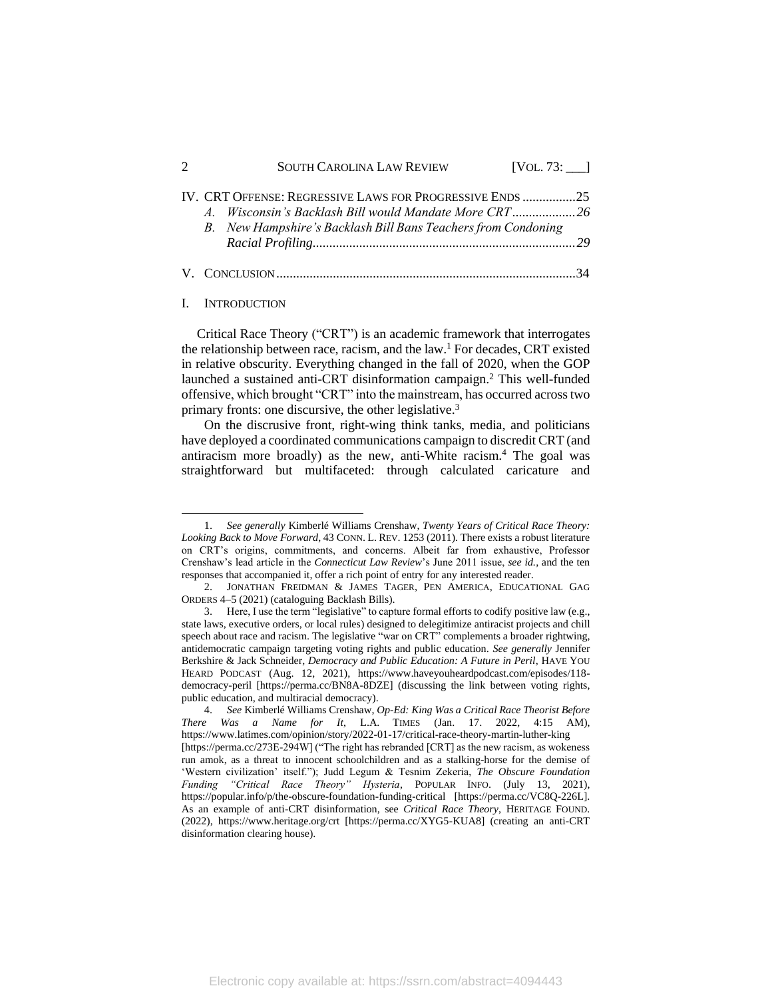|         | <b>SOUTH CAROLINA LAW REVIEW</b>                              |  |
|---------|---------------------------------------------------------------|--|
|         | IV. CRT OFFENSE: REGRESSIVE LAWS FOR PROGRESSIVE ENDS 25      |  |
| $A_{-}$ |                                                               |  |
|         | B. New Hampshire's Backlash Bill Bans Teachers from Condoning |  |
|         |                                                               |  |
|         |                                                               |  |
|         |                                                               |  |

#### I. INTRODUCTION

<span id="page-2-0"></span>Critical Race Theory ("CRT") is an academic framework that interrogates the relationship between race, racism, and the law.<sup>1</sup> For decades, CRT existed in relative obscurity. Everything changed in the fall of 2020, when the GOP launched a sustained anti-CRT disinformation campaign. <sup>2</sup> This well-funded offensive, which brought "CRT" into the mainstream, has occurred across two primary fronts: one discursive, the other legislative.<sup>3</sup>

<span id="page-2-1"></span>On the discrusive front, right-wing think tanks, media, and politicians have deployed a coordinated communications campaign to discredit CRT (and antiracism more broadly) as the new, anti-White racism.<sup>4</sup> The goal was straightforward but multifaceted: through calculated caricature and

Electronic copy available at: https://ssrn.com/abstract=4094443

<sup>1.</sup> *See generally* Kimberlé Williams Crenshaw, *Twenty Years of Critical Race Theory: Looking Back to Move Forward*, 43 CONN. L. REV. 1253 (2011). There exists a robust literature on CRT's origins, commitments, and concerns. Albeit far from exhaustive, Professor Crenshaw's lead article in the *Connecticut Law Review*'s June 2011 issue, *see id.*, and the ten responses that accompanied it, offer a rich point of entry for any interested reader.

<sup>2.</sup> JONATHAN FREIDMAN & JAMES TAGER, PEN AMERICA, EDUCATIONAL GAG ORDERS 4–5 (2021) (cataloguing Backlash Bills).

<sup>3.</sup> Here, I use the term "legislative" to capture formal efforts to codify positive law (e.g., state laws, executive orders, or local rules) designed to delegitimize antiracist projects and chill speech about race and racism. The legislative "war on CRT" complements a broader rightwing, antidemocratic campaign targeting voting rights and public education. *See generally* Jennifer Berkshire & Jack Schneider, *Democracy and Public Education: A Future in Peril*, HAVE YOU HEARD PODCAST (Aug. 12, 2021), https://www.haveyouheardpodcast.com/episodes/118 democracy-peril [https://perma.cc/BN8A-8DZE] (discussing the link between voting rights, public education, and multiracial democracy).

<sup>4.</sup> *See* Kimberlé Williams Crenshaw, *Op-Ed: King Was a Critical Race Theorist Before There Was a Name for It*, L.A. TIMES (Jan. 17. 2022, 4:15 AM), https://www.latimes.com/opinion/story/2022-01-17/critical-race-theory-martin-luther-king [https://perma.cc/273E-294W] ("The right has rebranded [CRT] as the new racism, as wokeness run amok, as a threat to innocent schoolchildren and as a stalking-horse for the demise of 'Western civilization' itself."); Judd Legum & Tesnim Zekeria, *The Obscure Foundation Funding "Critical Race Theory" Hysteria*, POPULAR INFO. (July 13, 2021), https://popular.info/p/the-obscure-foundation-funding-critical [https://perma.cc/VC8Q-226L]. As an example of anti-CRT disinformation, see *Critical Race Theory*, HERITAGE FOUND. (2022), https://www.heritage.org/crt [https://perma.cc/XYG5-KUA8] (creating an anti-CRT disinformation clearing house).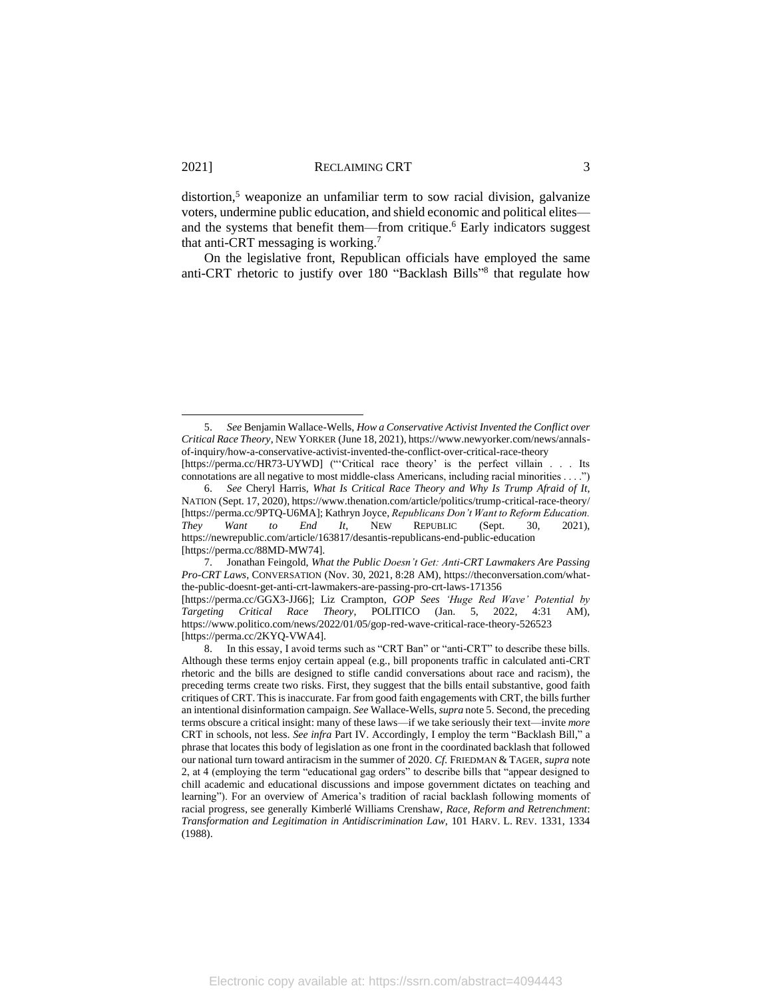<span id="page-3-0"></span>distortion,<sup>5</sup> weaponize an unfamiliar term to sow racial division, galvanize voters, undermine public education, and shield economic and political elites and the systems that benefit them—from critique.<sup>6</sup> Early indicators suggest that anti-CRT messaging is working.<sup>7</sup>

<span id="page-3-2"></span><span id="page-3-1"></span>On the legislative front, Republican officials have employed the same anti-CRT rhetoric to justify over 180 "Backlash Bills" 8 that regulate how

7. Jonathan Feingold, *What the Public Doesn't Get: Anti-CRT Lawmakers Are Passing Pro-CRT Laws*, CONVERSATION (Nov. 30, 2021, 8:28 AM), https://theconversation.com/whatthe-public-doesnt-get-anti-crt-lawmakers-are-passing-pro-crt-laws-171356

[https://perma.cc/GGX3-JJ66]; Liz Crampton*, GOP Sees 'Huge Red Wave' Potential by Targeting Critical Race Theory*, POLITICO (Jan. 5, 2022, 4:31 AM), https://www.politico.com/news/2022/01/05/gop-red-wave-critical-race-theory-526523 [https://perma.cc/2KYQ-VWA4].

<sup>5.</sup> *See* Benjamin Wallace-Wells, *How a Conservative Activist Invented the Conflict over Critical Race Theory*, NEW YORKER (June 18, 2021), https://www.newyorker.com/news/annalsof-inquiry/how-a-conservative-activist-invented-the-conflict-over-critical-race-theory [https://perma.cc/HR73-UYWD] ("'Critical race theory' is the perfect villain . . . Its

connotations are all negative to most middle-class Americans, including racial minorities . . . .") 6. *See* Cheryl Harris, *What Is Critical Race Theory and Why Is Trump Afraid of It*, NATION (Sept. 17, 2020), https://www.thenation.com/article/politics/trump-critical-race-theory/ [https://perma.cc/9PTQ-U6MA]; Kathryn Joyce, *Republicans Don't Want to Reform Education. They Want to End It*, NEW REPUBLIC (Sept. 30, 2021), <https://newrepublic.com/article/163817/desantis-republicans-end-public-education> [https://perma.cc/88MD-MW74].

<sup>8.</sup> In this essay, I avoid terms such as "CRT Ban" or "anti-CRT" to describe these bills. Although these terms enjoy certain appeal (e.g., bill proponents traffic in calculated anti-CRT rhetoric and the bills are designed to stifle candid conversations about race and racism), the preceding terms create two risks. First, they suggest that the bills entail substantive, good faith critiques of CRT. This is inaccurate. Far from good faith engagements with CRT, the bills further an intentional disinformation campaign. *See* Wallace-Wells, *supra* not[e 5.](#page-3-0) Second, the preceding terms obscure a critical insight: many of these laws—if we take seriously their text—invite *more*  CRT in schools, not less. *See infra* Part IV. Accordingly, I employ the term "Backlash Bill," a phrase that locates this body of legislation as one front in the coordinated backlash that followed our national turn toward antiracism in the summer of 2020. *Cf.* FRIEDMAN & TAGER, *supra* note [2,](#page-2-0) at 4 (employing the term "educational gag orders" to describe bills that "appear designed to chill academic and educational discussions and impose government dictates on teaching and learning"). For an overview of America's tradition of racial backlash following moments of racial progress, see generally Kimberlé Williams Crenshaw, *Race, Reform and Retrenchment*: *Transformation and Legitimation in Antidiscrimination Law*, 101 HARV. L. REV. 1331, 1334 (1988).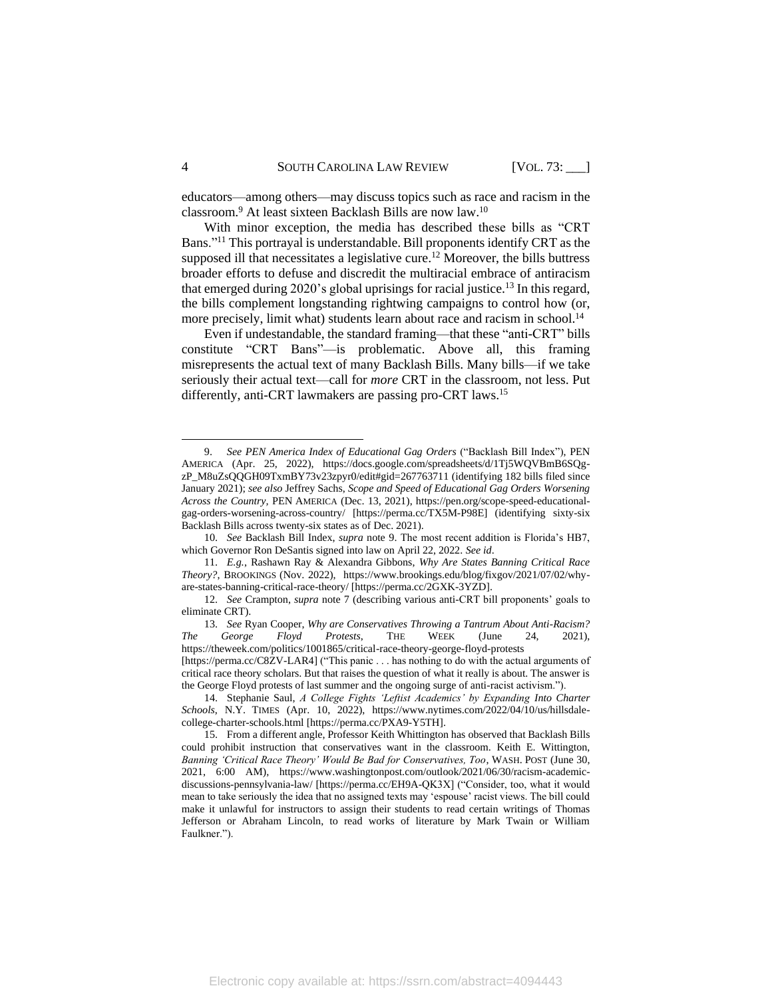<span id="page-4-0"></span>educators—among others—may discuss topics such as race and racism in the classroom. <sup>9</sup> At least sixteen Backlash Bills are now law.<sup>10</sup>

With minor exception, the media has described these bills as "CRT Bans."<sup>11</sup> This portrayal is understandable. Bill proponents identify CRT as the supposed ill that necessitates a legislative cure. <sup>12</sup> Moreover, the bills buttress broader efforts to defuse and discredit the multiracial embrace of antiracism that emerged during 2020's global uprisings for racial justice. <sup>13</sup> In this regard, the bills complement longstanding rightwing campaigns to control how (or, more precisely, limit what) students learn about race and racism in school.<sup>14</sup>

<span id="page-4-1"></span>Even if undestandable, the standard framing—that these "anti-CRT" bills constitute "CRT Bans"—is problematic. Above all, this framing misrepresents the actual text of many Backlash Bills. Many bills—if we take seriously their actual text—call for *more* CRT in the classroom, not less. Put differently, anti-CRT lawmakers are passing pro-CRT laws.<sup>15</sup>

<sup>9.</sup> *See PEN America Index of Educational Gag Orders* ("Backlash Bill Index"), PEN AMERICA (Apr. 25, 2022), [https://docs.google.com/spreadsheets/d/1Tj5WQVBmB6SQg](https://docs.google.com/spreadsheets/d/1Tj5WQVBmB6SQg-zP_M8uZsQQGH09TxmBY73v23zpyr0/edit#gid=267763711)[zP\\_M8uZsQQGH09TxmBY73v23zpyr0/edit#gid=267763711](https://docs.google.com/spreadsheets/d/1Tj5WQVBmB6SQg-zP_M8uZsQQGH09TxmBY73v23zpyr0/edit#gid=267763711) (identifying 182 bills filed since January 2021); *see also* Jeffrey Sachs, *Scope and Speed of Educational Gag Orders Worsening Across the Country,* PEN AMERICA (Dec. 13, 2021), https://pen.org/scope-speed-educationalgag-orders-worsening-across-country/ [https://perma.cc/TX5M-P98E] (identifying sixty-six Backlash Bills across twenty-six states as of Dec. 2021).

<sup>10.</sup> *See* Backlash Bill Index, *supra* note 9. The most recent addition is Florida's HB7, which Governor Ron DeSantis signed into law on April 22, 2022. *See id*.

<sup>11.</sup> *E.g.*, Rashawn Ray & Alexandra Gibbons, *Why Are States Banning Critical Race Theory?*, BROOKINGS (Nov. 2022), https://www.brookings.edu/blog/fixgov/2021/07/02/whyare-states-banning-critical-race-theory/ [https://perma.cc/2GXK-3YZD].

<sup>12.</sup> *See* Crampton, *supra* note [7](#page-3-1) (describing various anti-CRT bill proponents' goals to eliminate CRT).

<sup>13.</sup> *See* Ryan Cooper, *Why are Conservatives Throwing a Tantrum About Anti-Racism? The George Floyd Protests*, THE WEEK (June 24, 2021), https://theweek.com/politics/1001865/critical-race-theory-george-floyd-protests

<sup>[</sup>https://perma.cc/C8ZV-LAR4] ("This panic . . . has nothing to do with the actual arguments of critical race theory scholars. But that raises the question of what it really is about. The answer is the George Floyd protests of last summer and the ongoing surge of anti-racist activism.").

<sup>14.</sup> Stephanie Saul, *A College Fights 'Leftist Academics' by Expanding Into Charter Schools*, N.Y. TIMES (Apr. 10, 2022), https://www.nytimes.com/2022/04/10/us/hillsdalecollege-charter-schools.html [https://perma.cc/PXA9-Y5TH].

<sup>15.</sup> From a different angle, Professor Keith Whittington has observed that Backlash Bills could prohibit instruction that conservatives want in the classroom. Keith E. Wittington, *Banning 'Critical Race Theory' Would Be Bad for Conservatives, Too*, WASH. POST (June 30, 2021, 6:00 AM), https://www.washingtonpost.com/outlook/2021/06/30/racism-academicdiscussions-pennsylvania-law/ [https://perma.cc/EH9A-QK3X] ("Consider, too, what it would mean to take seriously the idea that no assigned texts may 'espouse' racist views. The bill could make it unlawful for instructors to assign their students to read certain writings of Thomas Jefferson or Abraham Lincoln, to read works of literature by Mark Twain or William Faulkner.").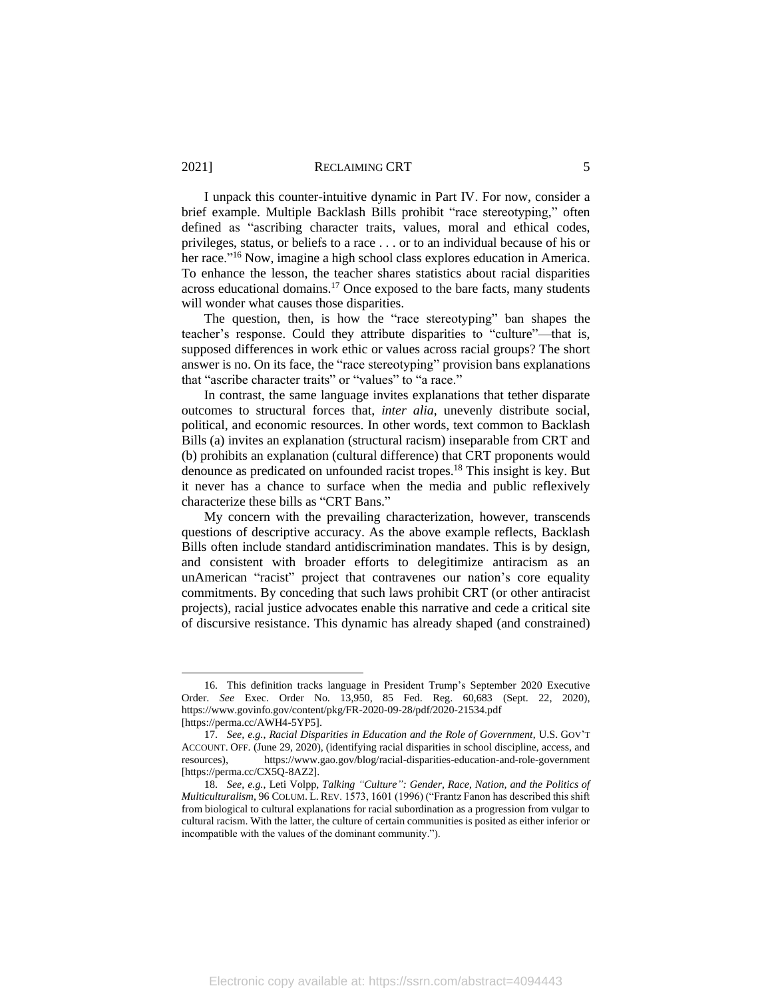I unpack this counter-intuitive dynamic in Part IV. For now, consider a brief example. Multiple Backlash Bills prohibit "race stereotyping," often defined as "ascribing character traits, values, moral and ethical codes, privileges, status, or beliefs to a race . . . or to an individual because of his or her race."<sup>16</sup> Now, imagine a high school class explores education in America. To enhance the lesson, the teacher shares statistics about racial disparities across educational domains.<sup>17</sup> Once exposed to the bare facts, many students will wonder what causes those disparities.

The question, then, is how the "race stereotyping" ban shapes the teacher's response. Could they attribute disparities to "culture"—that is, supposed differences in work ethic or values across racial groups? The short answer is no. On its face, the "race stereotyping" provision bans explanations that "ascribe character traits" or "values" to "a race."

In contrast, the same language invites explanations that tether disparate outcomes to structural forces that, *inter alia*, unevenly distribute social, political, and economic resources. In other words, text common to Backlash Bills (a) invites an explanation (structural racism) inseparable from CRT and (b) prohibits an explanation (cultural difference) that CRT proponents would denounce as predicated on unfounded racist tropes. <sup>18</sup> This insight is key. But it never has a chance to surface when the media and public reflexively characterize these bills as "CRT Bans."

My concern with the prevailing characterization, however, transcends questions of descriptive accuracy. As the above example reflects, Backlash Bills often include standard antidiscrimination mandates. This is by design, and consistent with broader efforts to delegitimize antiracism as an unAmerican "racist" project that contravenes our nation's core equality commitments. By conceding that such laws prohibit CRT (or other antiracist projects), racial justice advocates enable this narrative and cede a critical site of discursive resistance. This dynamic has already shaped (and constrained)

<sup>16.</sup> This definition tracks language in President Trump's September 2020 Executive Order. *See* Exec. Order No. 13,950, 85 Fed. Reg. 60,683 (Sept. 22, 2020), https://www.govinfo.gov/content/pkg/FR-2020-09-28/pdf/2020-21534.pdf [https://perma.cc/AWH4-5YP5].

<sup>17.</sup> *See, e.g.*, *Racial Disparities in Education and the Role of Government*, U.S. GOV'T ACCOUNT. OFF. (June 29, 2020), (identifying racial disparities in school discipline, access, and resources), https://www.gao.gov/blog/racial-disparities-education-and-role-government [https://perma.cc/CX5Q-8AZ2].

<sup>18.</sup> *See*, *e.g.*, Leti Volpp, *Talking "Culture": Gender, Race, Nation, and the Politics of Multiculturalism*, 96 COLUM. L. REV. 1573, 1601 (1996) ("Frantz Fanon has described this shift from biological to cultural explanations for racial subordination as a progression from vulgar to cultural racism. With the latter, the culture of certain communities is posited as either inferior or incompatible with the values of the dominant community.").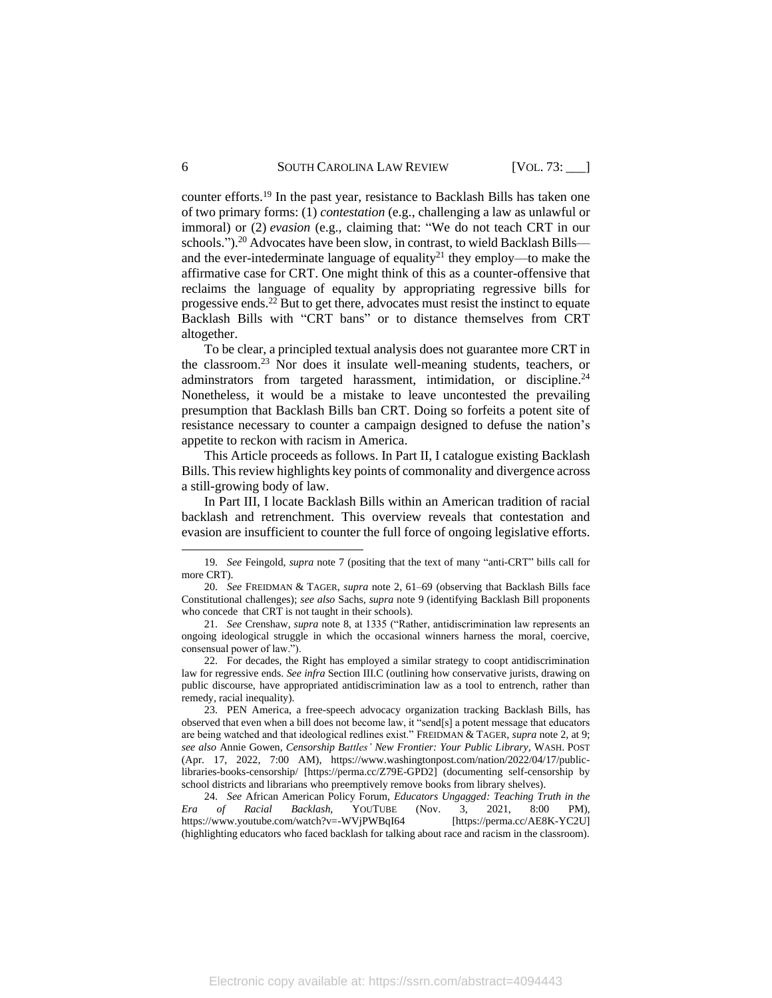<span id="page-6-0"></span>counter efforts.<sup>19</sup> In the past year, resistance to Backlash Bills has taken one of two primary forms: (1) *contestation* (e.g., challenging a law as unlawful or immoral) or (2) *evasion* (e.g., claiming that: "We do not teach CRT in our schools.").<sup>20</sup> Advocates have been slow, in contrast, to wield Backlash Bills and the ever-intederminate language of equality<sup>21</sup> they employ—to make the affirmative case for CRT. One might think of this as a counter-offensive that reclaims the language of equality by appropriating regressive bills for progessive ends. <sup>22</sup> But to get there, advocates must resist the instinct to equate Backlash Bills with "CRT bans" or to distance themselves from CRT altogether.

To be clear, a principled textual analysis does not guarantee more CRT in the classroom.<sup>23</sup> Nor does it insulate well-meaning students, teachers, or adminstrators from targeted harassment, intimidation, or discipline.<sup>24</sup> Nonetheless, it would be a mistake to leave uncontested the prevailing presumption that Backlash Bills ban CRT. Doing so forfeits a potent site of resistance necessary to counter a campaign designed to defuse the nation's appetite to reckon with racism in America.

This Article proceeds as follows. In Part II, I catalogue existing Backlash Bills. This review highlights key points of commonality and divergence across a still-growing body of law.

In Part III, I locate Backlash Bills within an American tradition of racial backlash and retrenchment. This overview reveals that contestation and evasion are insufficient to counter the full force of ongoing legislative efforts.

24. *See* African American Policy Forum, *Educators Ungagged: Teaching Truth in the Era of Racial Backlash,* YOUTUBE (Nov. 3, 2021, 8:00 PM), https://www.youtube.com/watch?v=-WVjPWBqI64 [https://perma.cc/AE8K-YC2U] (highlighting educators who faced backlash for talking about race and racism in the classroom).

<sup>19.</sup> *See* Feingold, *supra* not[e 7](#page-3-1) (positing that the text of many "anti-CRT" bills call for more CRT).

<sup>20.</sup> *See* FREIDMAN & TAGER, *supra* note [2,](#page-2-0) 61–69 (observing that Backlash Bills face Constitutional challenges); *see also* Sachs, *supra* note [9](#page-4-0) (identifying Backlash Bill proponents who concede that CRT is not taught in their schools).

<sup>21.</sup> *See* Crenshaw, *supra* note [8,](#page-3-2) at 1335 ("Rather, antidiscrimination law represents an ongoing ideological struggle in which the occasional winners harness the moral, coercive, consensual power of law.").

<sup>22.</sup> For decades, the Right has employed a similar strategy to coopt antidiscrimination law for regressive ends. *See infra* Section [III.C](#page-20-0) (outlining how conservative jurists, drawing on public discourse, have appropriated antidiscrimination law as a tool to entrench, rather than remedy, racial inequality).

<sup>23.</sup> PEN America, a free-speech advocacy organization tracking Backlash Bills, has observed that even when a bill does not become law, it "send[s] a potent message that educators are being watched and that ideological redlines exist." FREIDMAN & TAGER, *supra* not[e 2,](#page-2-0) at 9; *see also* Annie Gowen, *Censorship Battles' New Frontier: Your Public Library*, WASH. POST (Apr. 17, 2022, 7:00 AM), [https://www.washingtonpost.com/nation/2022/04/17/public](https://www.washingtonpost.com/nation/2022/04/17/public-libraries-books-censorship/)[libraries-books-censorship/](https://www.washingtonpost.com/nation/2022/04/17/public-libraries-books-censorship/) [https://perma.cc/Z79E-GPD2] (documenting self-censorship by school districts and librarians who preemptively remove books from library shelves).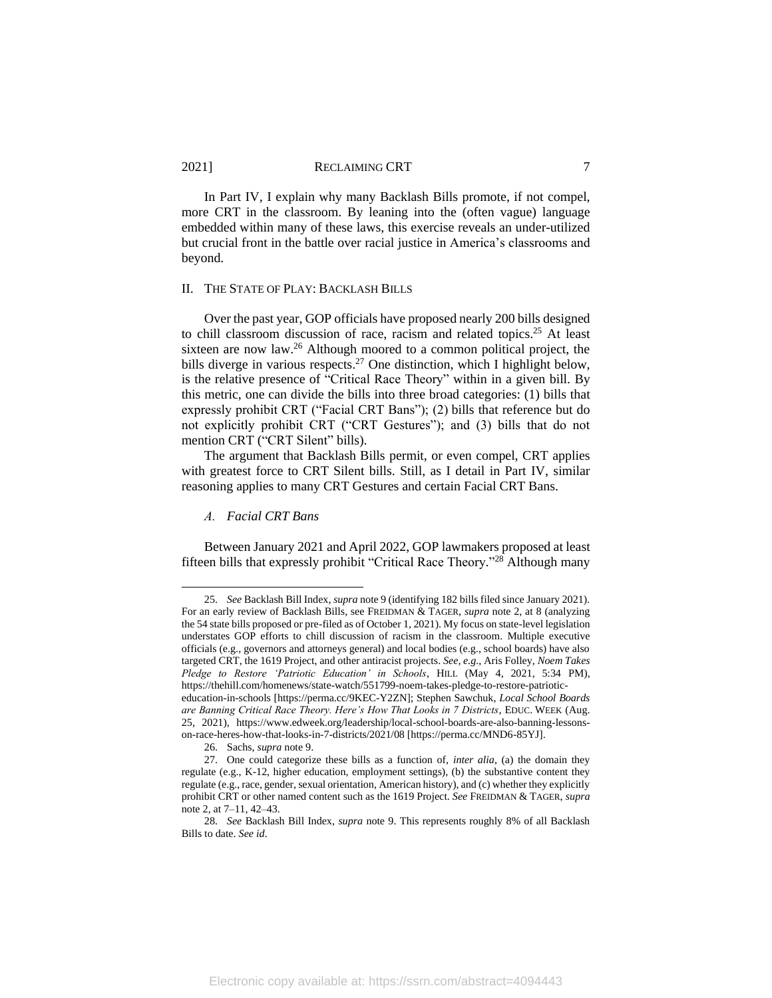In Part IV, I explain why many Backlash Bills promote, if not compel, more CRT in the classroom. By leaning into the (often vague) language embedded within many of these laws, this exercise reveals an under-utilized but crucial front in the battle over racial justice in America's classrooms and beyond.

#### II. THE STATE OF PLAY: BACKLASH BILLS

Over the past year, GOP officials have proposed nearly 200 bills designed to chill classroom discussion of race, racism and related topics. <sup>25</sup> At least sixteen are now law.<sup>26</sup> Although moored to a common political project, the bills diverge in various respects.<sup>27</sup> One distinction, which I highlight below, is the relative presence of "Critical Race Theory" within in a given bill. By this metric, one can divide the bills into three broad categories: (1) bills that expressly prohibit CRT ("Facial CRT Bans"); (2) bills that reference but do not explicitly prohibit CRT ("CRT Gestures"); and (3) bills that do not mention CRT ("CRT Silent" bills).

The argument that Backlash Bills permit, or even compel, CRT applies with greatest force to CRT Silent bills. Still, as I detail in Part IV, similar reasoning applies to many CRT Gestures and certain Facial CRT Bans.

#### *A. Facial CRT Bans*

Between January 2021 and April 2022, GOP lawmakers proposed at least fifteen bills that expressly prohibit "Critical Race Theory." <sup>28</sup> Although many

<sup>25.</sup> *See* Backlash Bill Index, *supra* note 9 (identifying 182 bills filed since January 2021). For an early review of Backlash Bills, see FREIDMAN & TAGER, *supra* not[e 2,](#page-2-0) at 8 (analyzing the 54 state bills proposed or pre-filed as of October 1, 2021). My focus on state-level legislation understates GOP efforts to chill discussion of racism in the classroom. Multiple executive officials (e.g., governors and attorneys general) and local bodies (e.g., school boards) have also targeted CRT, the 1619 Project, and other antiracist projects. *See, e.g.*, Aris Folley, *Noem Takes Pledge to Restore 'Patriotic Education' in Schools*, HILL (May 4, 2021, 5:34 PM), https://thehill.com/homenews/state-watch/551799-noem-takes-pledge-to-restore-patrioticeducation-in-schools [https://perma.cc/9KEC-Y2ZN]; Stephen Sawchuk, *Local School Boards are Banning Critical Race Theory. Here's How That Looks in 7 Districts*, EDUC. WEEK (Aug.

<sup>25, 2021),</sup> https://www.edweek.org/leadership/local-school-boards-are-also-banning-lessonson-race-heres-how-that-looks-in-7-districts/2021/08 [https://perma.cc/MND6-85YJ].

<sup>26.</sup> Sachs, *supra* not[e 9.](#page-4-0)

<sup>27.</sup> One could categorize these bills as a function of, *inter alia*, (a) the domain they regulate (e.g., K-12, higher education, employment settings), (b) the substantive content they regulate (e.g., race, gender, sexual orientation, American history), and (c) whether they explicitly prohibit CRT or other named content such as the 1619 Project. *See* FREIDMAN & TAGER, *supra*  note [2,](#page-2-0) at 7–11, 42–43.

<sup>28.</sup> *See* Backlash Bill Index, *supra* note 9. This represents roughly 8% of all Backlash Bills to date. *See id*.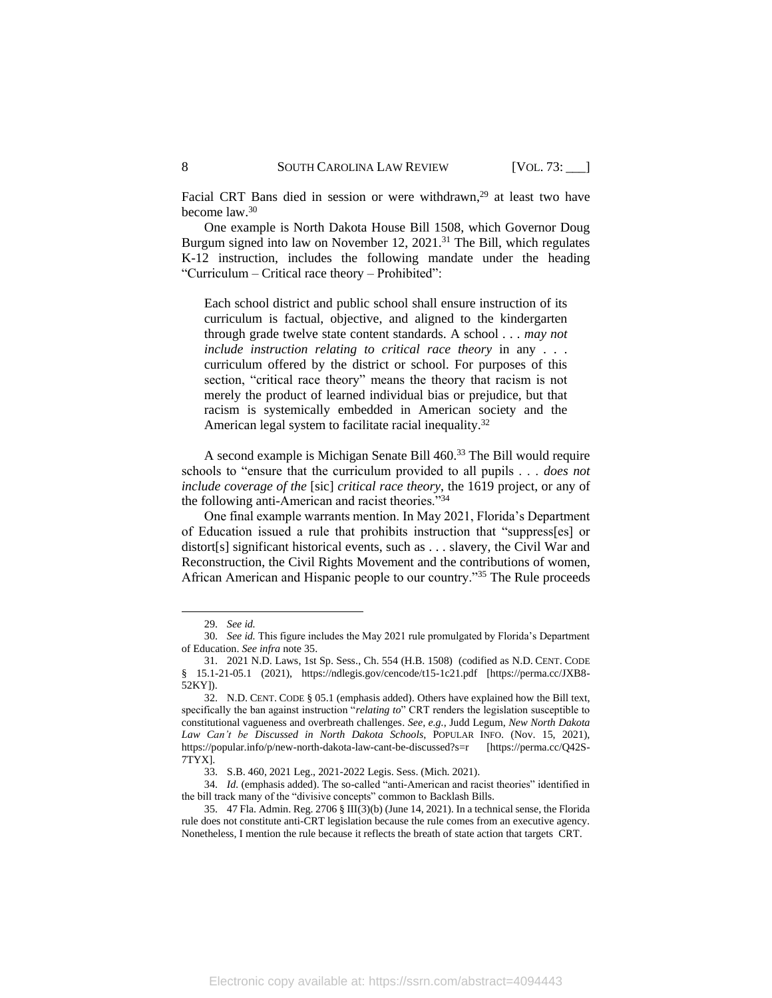Facial CRT Bans died in session or were withdrawn,<sup>29</sup> at least two have become law.<sup>30</sup>

One example is North Dakota House Bill 1508, which Governor Doug Burgum signed into law on November 12, 2021.<sup>31</sup> The Bill, which regulates K-12 instruction, includes the following mandate under the heading "Curriculum – Critical race theory – Prohibited":

Each school district and public school shall ensure instruction of its curriculum is factual, objective, and aligned to the kindergarten through grade twelve state content standards. A school . . . *may not include instruction relating to critical race theory* in any . . . curriculum offered by the district or school. For purposes of this section, "critical race theory" means the theory that racism is not merely the product of learned individual bias or prejudice, but that racism is systemically embedded in American society and the American legal system to facilitate racial inequality.<sup>32</sup>

A second example is Michigan Senate Bill 460.<sup>33</sup> The Bill would require schools to "ensure that the curriculum provided to all pupils . . . *does not include coverage of the* [sic] *critical race theory*, the 1619 project, or any of the following anti-American and racist theories."<sup>34</sup>

One final example warrants mention. In May 2021, Florida's Department of Education issued a rule that prohibits instruction that "suppress[es] or distort[s] significant historical events, such as . . . slavery, the Civil War and Reconstruction, the Civil Rights Movement and the contributions of women, African American and Hispanic people to our country."<sup>35</sup> The Rule proceeds

<span id="page-8-0"></span><sup>29.</sup> *See id.*

<sup>30.</sup> *See id.* This figure includes the May 2021 rule promulgated by Florida's Department of Education. *See infra* not[e 35.](#page-8-0)

<sup>31.</sup> 2021 N.D. Laws, 1st Sp. Sess., Ch. 554 (H.B. 1508) (codified as N.D. CENT. CODE § 15.1-21-05.1 (2021), https://ndlegis.gov/cencode/t15-1c21.pdf [https://perma.cc/JXB8- 52KY]).

<sup>32.</sup> N.D. CENT. CODE § 05.1 (emphasis added). Others have explained how the Bill text, specifically the ban against instruction "*relating to*" CRT renders the legislation susceptible to constitutional vagueness and overbreath challenges. *See, e.g.*, Judd Legum, *New North Dakota Law Can't be Discussed in North Dakota Schools*, POPULAR INFO. (Nov. 15, 2021), https://popular.info/p/new-north-dakota-law-cant-be-discussed?s=r [https://perma.cc/Q42S-7TYX].

<sup>33.</sup> S.B. 460, 2021 Leg., 2021-2022 Legis. Sess. (Mich. 2021).

<sup>34.</sup> *Id.* (emphasis added). The so-called "anti-American and racist theories" identified in the bill track many of the "divisive concepts" common to Backlash Bills.

<sup>35.</sup> 47 Fla. Admin. Reg. 2706 § III(3)(b) (June 14, 2021). In a technical sense, the Florida rule does not constitute anti-CRT legislation because the rule comes from an executive agency. Nonetheless, I mention the rule because it reflects the breath of state action that targets CRT.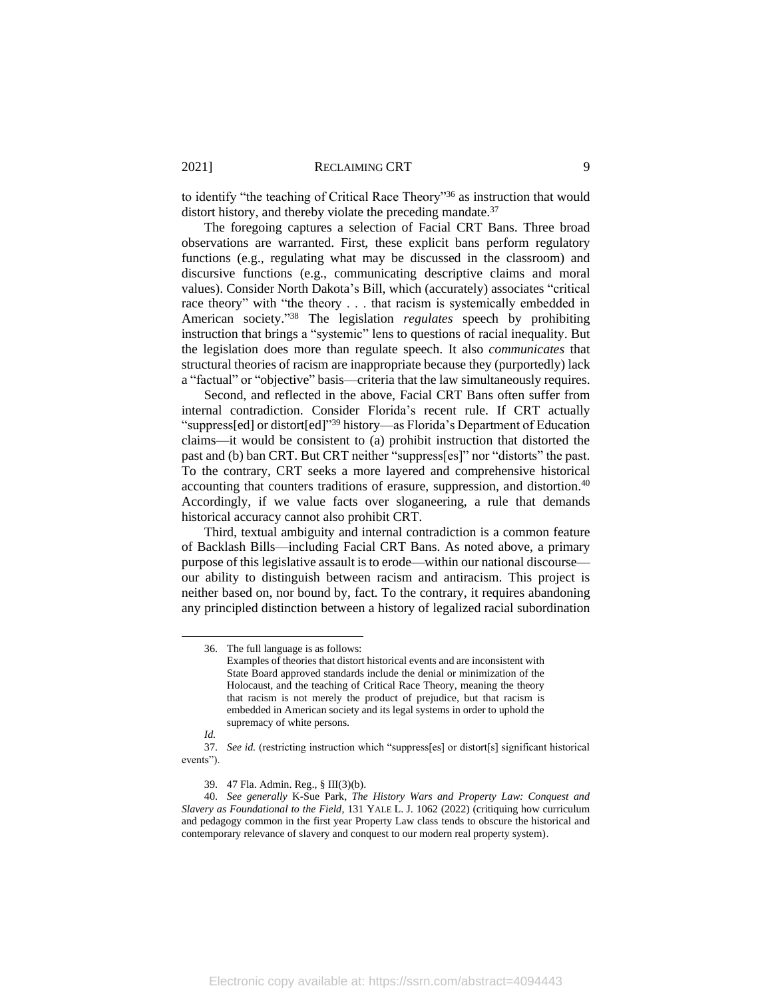to identify "the teaching of Critical Race Theory"<sup>36</sup> as instruction that would distort history, and thereby violate the preceding mandate.<sup>37</sup>

The foregoing captures a selection of Facial CRT Bans. Three broad observations are warranted. First, these explicit bans perform regulatory functions (e.g., regulating what may be discussed in the classroom) and discursive functions (e.g., communicating descriptive claims and moral values). Consider North Dakota's Bill, which (accurately) associates "critical race theory" with "the theory . . . that racism is systemically embedded in American society." <sup>38</sup> The legislation *regulates* speech by prohibiting instruction that brings a "systemic" lens to questions of racial inequality. But the legislation does more than regulate speech. It also *communicates* that structural theories of racism are inappropriate because they (purportedly) lack a "factual" or "objective" basis—criteria that the law simultaneously requires.

Second, and reflected in the above, Facial CRT Bans often suffer from internal contradiction. Consider Florida's recent rule. If CRT actually "suppress[ed] or distort[ed]" <sup>39</sup> history—as Florida's Department of Education claims—it would be consistent to (a) prohibit instruction that distorted the past and (b) ban CRT. But CRT neither "suppress[es]" nor "distorts" the past. To the contrary, CRT seeks a more layered and comprehensive historical accounting that counters traditions of erasure, suppression, and distortion. 40 Accordingly, if we value facts over sloganeering, a rule that demands historical accuracy cannot also prohibit CRT.

Third, textual ambiguity and internal contradiction is a common feature of Backlash Bills—including Facial CRT Bans. As noted above, a primary purpose of this legislative assault is to erode—within our national discourse our ability to distinguish between racism and antiracism. This project is neither based on, nor bound by, fact. To the contrary, it requires abandoning any principled distinction between a history of legalized racial subordination

<sup>36.</sup> The full language is as follows: Examples of theories that distort historical events and are inconsistent with State Board approved standards include the denial or minimization of the Holocaust, and the teaching of Critical Race Theory, meaning the theory that racism is not merely the product of prejudice, but that racism is embedded in American society and its legal systems in order to uphold the supremacy of white persons.

*Id.*

<sup>37.</sup> *See id.* (restricting instruction which "suppress[es] or distort[s] significant historical events").

<sup>39.</sup> 47 Fla. Admin. Reg., § III(3)(b).

<sup>40.</sup> *See generally* K-Sue Park, *The History Wars and Property Law: Conquest and Slavery as Foundational to the Field*, 131 YALE L. J. 1062 (2022) (critiquing how curriculum and pedagogy common in the first year Property Law class tends to obscure the historical and contemporary relevance of slavery and conquest to our modern real property system).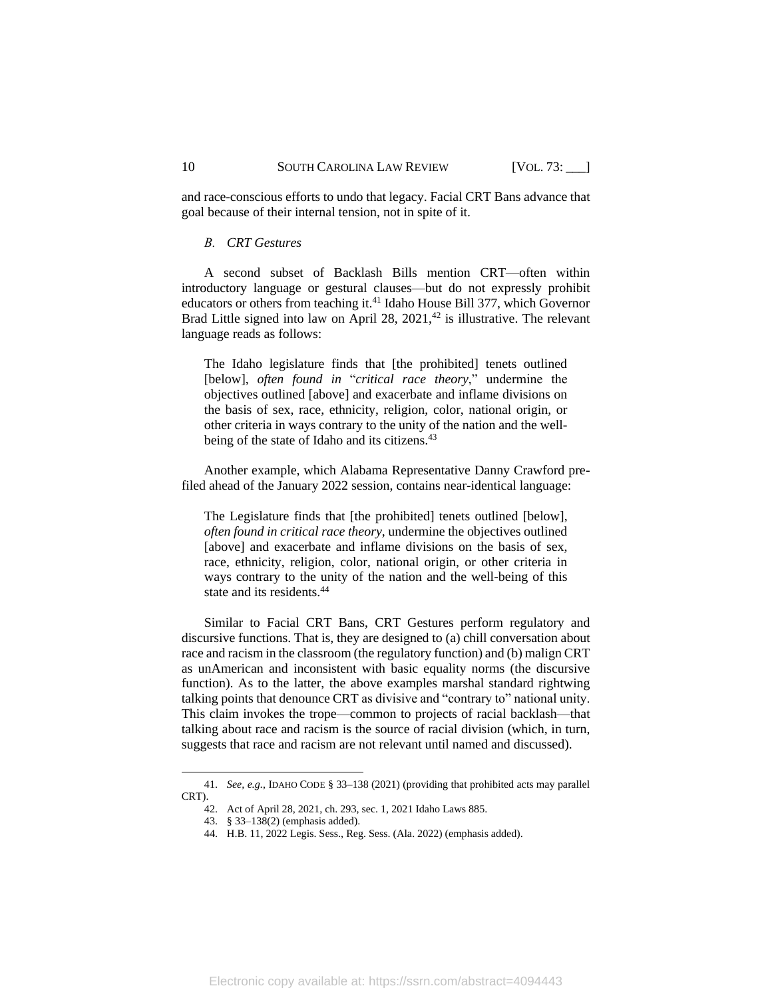and race-conscious efforts to undo that legacy. Facial CRT Bans advance that goal because of their internal tension, not in spite of it.

#### *B. CRT Gestures*

A second subset of Backlash Bills mention CRT—often within introductory language or gestural clauses—but do not expressly prohibit educators or others from teaching it.<sup>41</sup> Idaho House Bill 377, which Governor Brad Little signed into law on April 28,  $2021$ ,<sup>42</sup> is illustrative. The relevant language reads as follows:

The Idaho legislature finds that [the prohibited] tenets outlined [below], *often found in* "*critical race theory*," undermine the objectives outlined [above] and exacerbate and inflame divisions on the basis of sex, race, ethnicity, religion, color, national origin, or other criteria in ways contrary to the unity of the nation and the wellbeing of the state of Idaho and its citizens.<sup>43</sup>

Another example, which Alabama Representative Danny Crawford prefiled ahead of the January 2022 session, contains near-identical language:

The Legislature finds that [the prohibited] tenets outlined [below], *often found in critical race theory*, undermine the objectives outlined [above] and exacerbate and inflame divisions on the basis of sex, race, ethnicity, religion, color, national origin, or other criteria in ways contrary to the unity of the nation and the well-being of this state and its residents.<sup>44</sup>

Similar to Facial CRT Bans, CRT Gestures perform regulatory and discursive functions. That is, they are designed to (a) chill conversation about race and racism in the classroom (the regulatory function) and (b) malign CRT as unAmerican and inconsistent with basic equality norms (the discursive function). As to the latter, the above examples marshal standard rightwing talking points that denounce CRT as divisive and "contrary to" national unity. This claim invokes the trope—common to projects of racial backlash—that talking about race and racism is the source of racial division (which, in turn, suggests that race and racism are not relevant until named and discussed).

<sup>41.</sup> *See, e.g.*, IDAHO CODE § 33–138 (2021) (providing that prohibited acts may parallel CRT).

<sup>42.</sup> Act of April 28, 2021, ch. 293, sec. 1, 2021 Idaho Laws 885.

<sup>43.</sup> § 33–138(2) (emphasis added).

<sup>44.</sup> H.B. 11, 2022 Legis. Sess., Reg. Sess. (Ala. 2022) (emphasis added).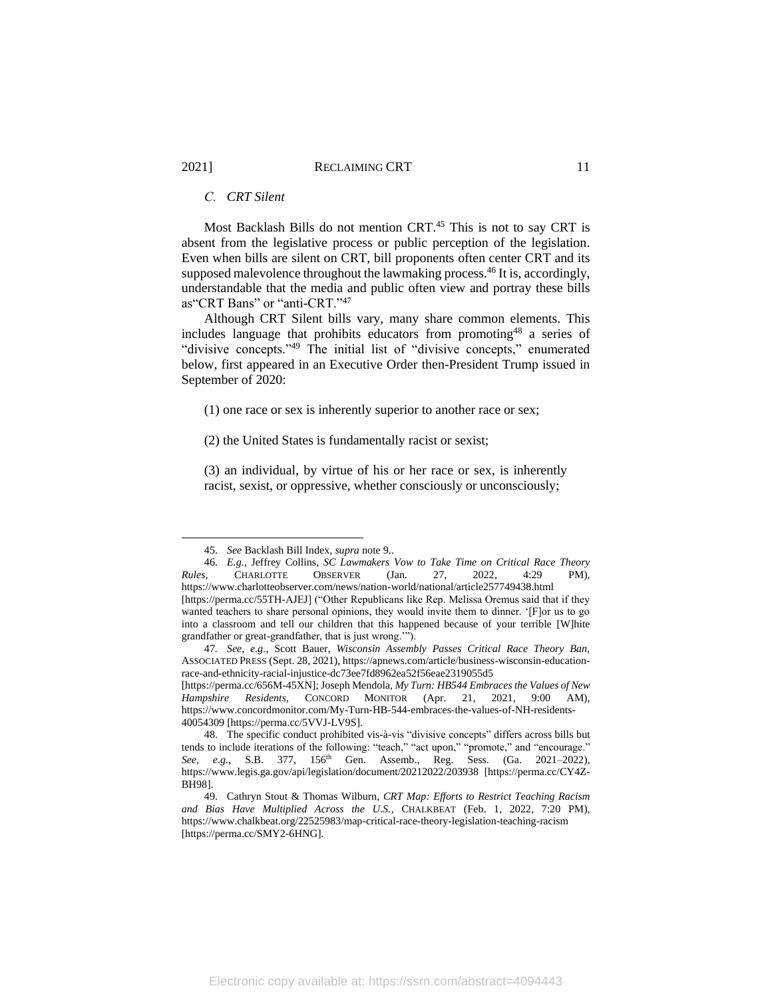# *C. CRT Silent*

Most Backlash Bills do not mention CRT.<sup>45</sup> This is not to say CRT is absent from the legislative process or public perception of the legislation. Even when bills are silent on CRT, bill proponents often center CRT and its supposed malevolence throughout the lawmaking process. <sup>46</sup> It is, accordingly, understandable that the media and public often view and portray these bills as"CRT Bans" or "anti-CRT."<sup>47</sup>

<span id="page-11-0"></span>Although CRT Silent bills vary, many share common elements. This includes language that prohibits educators from promoting<sup>48</sup> a series of "divisive concepts."<sup>49</sup> The initial list of "divisive concepts," enumerated below, first appeared in an Executive Order then-President Trump issued in September of 2020:

(1) one race or sex is inherently superior to another race or sex;

(2) the United States is fundamentally racist or sexist;

(3) an individual, by virtue of his or her race or sex, is inherently racist, sexist, or oppressive, whether consciously or unconsciously;

<sup>45.</sup> *See* Backlash Bill Index, *supra* note 9..

<sup>46.</sup> *E.g.*, Jeffrey Collins, *SC Lawmakers Vow to Take Time on Critical Race Theory Rules*, CHARLOTTE OBSERVER (Jan. 27, 2022, 4:29 PM), https://www.charlotteobserver.com/news/nation-world/national/article257749438.html [https://perma.cc/55TH-AJEJ] ("Other Republicans like Rep. Melissa Oremus said that if they wanted teachers to share personal opinions, they would invite them to dinner. '[F]or us to go into a classroom and tell our children that this happened because of your terrible [W]hite grandfather or great-grandfather, that is just wrong.'").

<sup>47</sup>*. See, e.g.*, Scott Bauer, *Wisconsin Assembly Passes Critical Race Theory Ban,*  ASSOCIATED PRESS (Sept. 28, 2021), https://apnews.com/article/business-wisconsin-educationrace-and-ethnicity-racial-injustice-dc73ee7fd8962ea52f56eae2319055d5

<sup>[</sup>https://perma.cc/656M-45XN]; Joseph Mendola, *My Turn: HB544 Embraces the Values of New Hampshire Residents,* CONCORD MONITOR (Apr. 21, 2021, 9:00 AM), https://www.concordmonitor.com/My-Turn-HB-544-embraces-the-values-of-NH-residents-40054309 [https://perma.cc/5VVJ-LV9S].

<sup>48.</sup> The specific conduct prohibited vis-à-vis "divisive concepts" differs across bills but tends to include iterations of the following: "teach," "act upon," "promote," and "encourage." *See, e.g.*, S.B. 377, 156th Gen. Assemb., Reg. Sess. (Ga. 2021–2022), <https://www.legis.ga.gov/api/legislation/document/20212022/203938> [https://perma.cc/CY4Z-BH98].

<sup>49.</sup> Cathryn Stout & Thomas Wilburn, *CRT Map: Efforts to Restrict Teaching Racism and Bias Have Multiplied Across the U.S.*, CHALKBEAT (Feb. 1, 2022, 7:20 PM), https://www.chalkbeat.org/22525983/map-critical-race-theory-legislation-teaching-racism [https://perma.cc/SMY2-6HNG].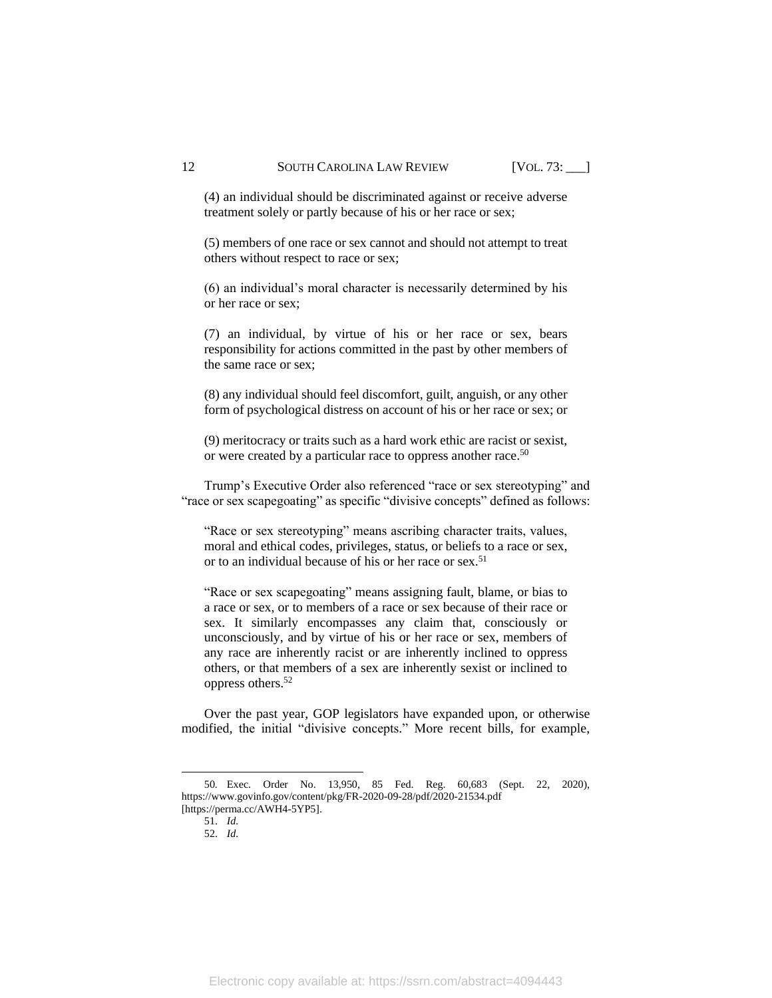(4) an individual should be discriminated against or receive adverse treatment solely or partly because of his or her race or sex;

(5) members of one race or sex cannot and should not attempt to treat others without respect to race or sex;

(6) an individual's moral character is necessarily determined by his or her race or sex;

(7) an individual, by virtue of his or her race or sex, bears responsibility for actions committed in the past by other members of the same race or sex;

(8) any individual should feel discomfort, guilt, anguish, or any other form of psychological distress on account of his or her race or sex; or

(9) meritocracy or traits such as a hard work ethic are racist or sexist, or were created by a particular race to oppress another race.<sup>50</sup>

Trump's Executive Order also referenced "race or sex stereotyping" and "race or sex scapegoating" as specific "divisive concepts" defined as follows:

"Race or sex stereotyping" means ascribing character traits, values, moral and ethical codes, privileges, status, or beliefs to a race or sex, or to an individual because of his or her race or sex.<sup>51</sup>

"Race or sex scapegoating" means assigning fault, blame, or bias to a race or sex, or to members of a race or sex because of their race or sex. It similarly encompasses any claim that, consciously or unconsciously, and by virtue of his or her race or sex, members of any race are inherently racist or are inherently inclined to oppress others, or that members of a sex are inherently sexist or inclined to oppress others.<sup>52</sup>

Over the past year, GOP legislators have expanded upon, or otherwise modified, the initial "divisive concepts." More recent bills, for example,

<sup>50</sup>*.* Exec. Order No. 13,950, 85 Fed. Reg. 60,683 (Sept. 22, 2020), https://www.govinfo.gov/content/pkg/FR-2020-09-28/pdf/2020-21534.pdf [https://perma.cc/AWH4-5YP5].

<sup>51.</sup> *Id.*

<sup>52.</sup> *Id.*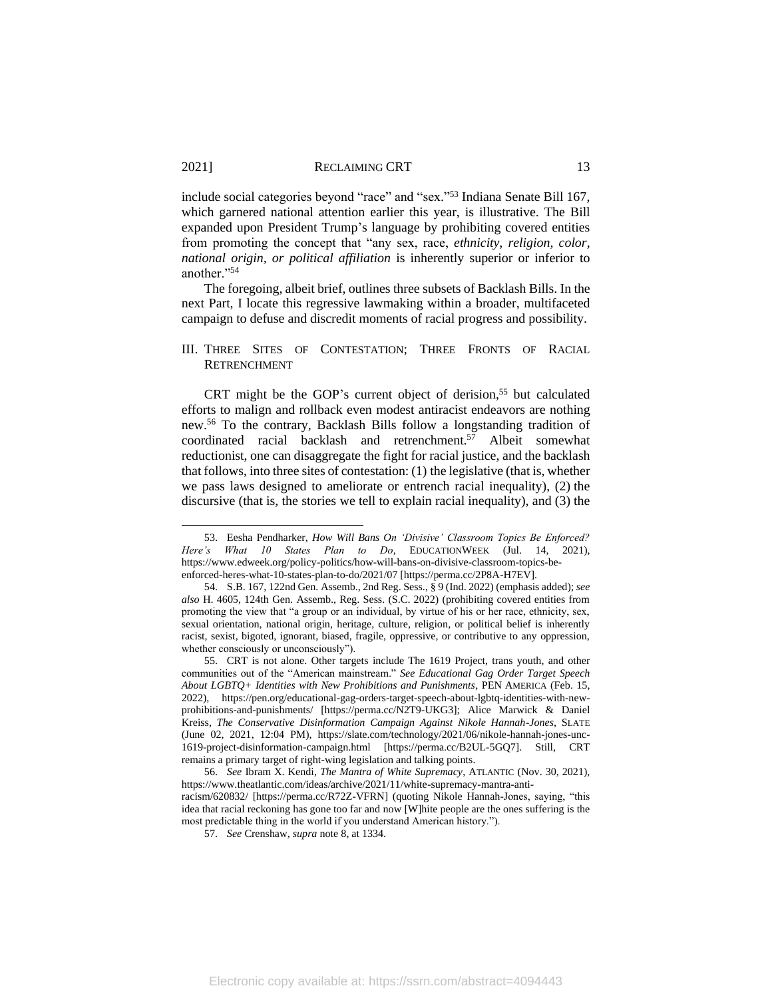include social categories beyond "race" and "sex." <sup>53</sup> Indiana Senate Bill 167, which garnered national attention earlier this year, is illustrative. The Bill expanded upon President Trump's language by prohibiting covered entities from promoting the concept that "any sex, race, *ethnicity, religion, color, national origin, or political affiliation* is inherently superior or inferior to another."<sup>54</sup>

The foregoing, albeit brief, outlines three subsets of Backlash Bills. In the next Part, I locate this regressive lawmaking within a broader, multifaceted campaign to defuse and discredit moments of racial progress and possibility.

### III. THREE SITES OF CONTESTATION; THREE FRONTS OF RACIAL **RETRENCHMENT**

<span id="page-13-0"></span>CRT might be the GOP's current object of derision,<sup>55</sup> but calculated efforts to malign and rollback even modest antiracist endeavors are nothing new.<sup>56</sup> To the contrary, Backlash Bills follow a longstanding tradition of coordinated racial backlash and retrenchment.<sup>57</sup> Albeit somewhat reductionist, one can disaggregate the fight for racial justice, and the backlash that follows, into three sites of contestation: (1) the legislative (that is, whether we pass laws designed to ameliorate or entrench racial inequality), (2) the discursive (that is, the stories we tell to explain racial inequality), and (3) the

<sup>53.</sup> Eesha Pendharker, *How Will Bans On 'Divisive' Classroom Topics Be Enforced? Here's What 10 States Plan to Do*, EDUCATIONWEEK (Jul. 14, 2021), https://www.edweek.org/policy-politics/how-will-bans-on-divisive-classroom-topics-beenforced-heres-what-10-states-plan-to-do/2021/07 [https://perma.cc/2P8A-H7EV].

<sup>54.</sup> S.B. 167, 122nd Gen. Assemb., 2nd Reg. Sess., § 9 (Ind. 2022) (emphasis added); *see also* H. 4605, 124th Gen. Assemb., Reg. Sess. (S.C. 2022) (prohibiting covered entities from promoting the view that "a group or an individual, by virtue of his or her race, ethnicity, sex, sexual orientation, national origin, heritage, culture, religion, or political belief is inherently racist, sexist, bigoted, ignorant, biased, fragile, oppressive, or contributive to any oppression, whether consciously or unconsciously").

<sup>55.</sup> CRT is not alone. Other targets include The 1619 Project, trans youth, and other communities out of the "American mainstream." *See Educational Gag Order Target Speech About LGBTQ+ Identities with New Prohibitions and Punishments*, PEN AMERICA (Feb. 15, 2022), https://pen.org/educational-gag-orders-target-speech-about-lgbtq-identities-with-newprohibitions-and-punishments/ [https://perma.cc/N2T9-UKG3]; Alice Marwick & Daniel Kreiss, *The Conservative Disinformation Campaign Against Nikole Hannah-Jones*, SLATE (June 02, 2021, 12:04 PM), https://slate.com/technology/2021/06/nikole-hannah-jones-unc-1619-project-disinformation-campaign.html [https://perma.cc/B2UL-5GQ7]. Still, CRT remains a primary target of right-wing legislation and talking points.

<sup>56.</sup> *See* Ibram X. Kendi, *The Mantra of White Supremacy*, ATLANTIC (Nov. 30, 2021), https://www.theatlantic.com/ideas/archive/2021/11/white-supremacy-mantra-antiracism/620832/ [https://perma.cc/R72Z-VFRN] (quoting Nikole Hannah-Jones, saying, "this idea that racial reckoning has gone too far and now [W]hite people are the ones suffering is the most predictable thing in the world if you understand American history.").

<sup>57.</sup> *See* Crenshaw, *supra* not[e 8,](#page-3-2) at 1334.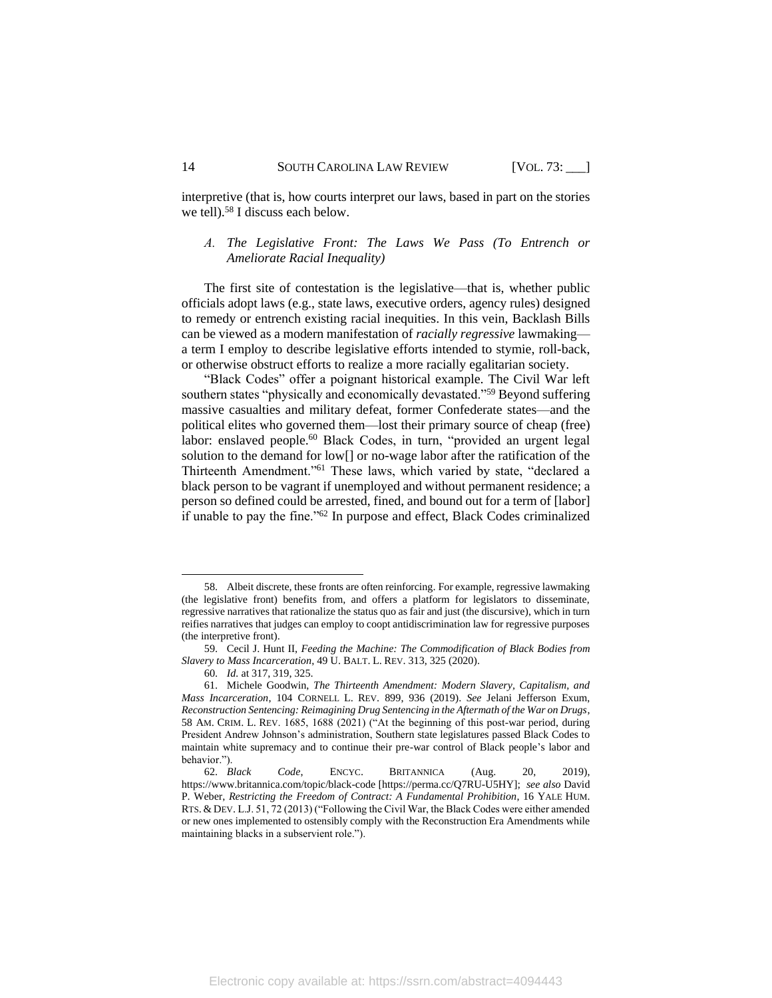interpretive (that is, how courts interpret our laws, based in part on the stories we tell). <sup>58</sup> I discuss each below.

# *A. The Legislative Front: The Laws We Pass (To Entrench or Ameliorate Racial Inequality)*

The first site of contestation is the legislative—that is, whether public officials adopt laws (e.g., state laws, executive orders, agency rules) designed to remedy or entrench existing racial inequities. In this vein, Backlash Bills can be viewed as a modern manifestation of *racially regressive* lawmaking a term I employ to describe legislative efforts intended to stymie, roll-back, or otherwise obstruct efforts to realize a more racially egalitarian society.

<span id="page-14-0"></span>"Black Codes" offer a poignant historical example. The Civil War left southern states "physically and economically devastated."<sup>59</sup> Beyond suffering massive casualties and military defeat, former Confederate states—and the political elites who governed them—lost their primary source of cheap (free) labor: enslaved people.<sup>60</sup> Black Codes, in turn, "provided an urgent legal solution to the demand for low[] or no-wage labor after the ratification of the Thirteenth Amendment."<sup>61</sup> These laws, which varied by state, "declared a black person to be vagrant if unemployed and without permanent residence; a person so defined could be arrested, fined, and bound out for a term of [labor] if unable to pay the fine."<sup>62</sup> In purpose and effect, Black Codes criminalized

<sup>58.</sup> Albeit discrete, these fronts are often reinforcing. For example, regressive lawmaking (the legislative front) benefits from, and offers a platform for legislators to disseminate, regressive narratives that rationalize the status quo as fair and just (the discursive), which in turn reifies narratives that judges can employ to coopt antidiscrimination law for regressive purposes (the interpretive front).

<sup>59.</sup> Cecil J. Hunt II, *Feeding the Machine: The Commodification of Black Bodies from Slavery to Mass Incarceration*, 49 U. BALT. L. REV. 313, 325 (2020).

<sup>60.</sup> *Id.* at 317, 319, 325.

<sup>61.</sup> Michele Goodwin, *The Thirteenth Amendment: Modern Slavery, Capitalism, and Mass Incarceration*, 104 CORNELL L. REV. 899, 936 (2019). *See* Jelani Jefferson Exum, *Reconstruction Sentencing: Reimagining Drug Sentencing in the Aftermath of the War on Drugs*, 58 AM. CRIM. L. REV. 1685, 1688 (2021) ("At the beginning of this post-war period, during President Andrew Johnson's administration, Southern state legislatures passed Black Codes to maintain white supremacy and to continue their pre-war control of Black people's labor and behavior.").

<sup>62.</sup> *Black Code*, ENCYC. BRITANNICA (Aug. 20, 2019), https://www.britannica.com/topic/black-code [https://perma.cc/Q7RU-U5HY]; *see also* David P. Weber, *Restricting the Freedom of Contract: A Fundamental Prohibition*, 16 YALE HUM. RTS. & DEV. L.J. 51, 72 (2013) ("Following the Civil War, the Black Codes were either amended or new ones implemented to ostensibly comply with the Reconstruction Era Amendments while maintaining blacks in a subservient role.").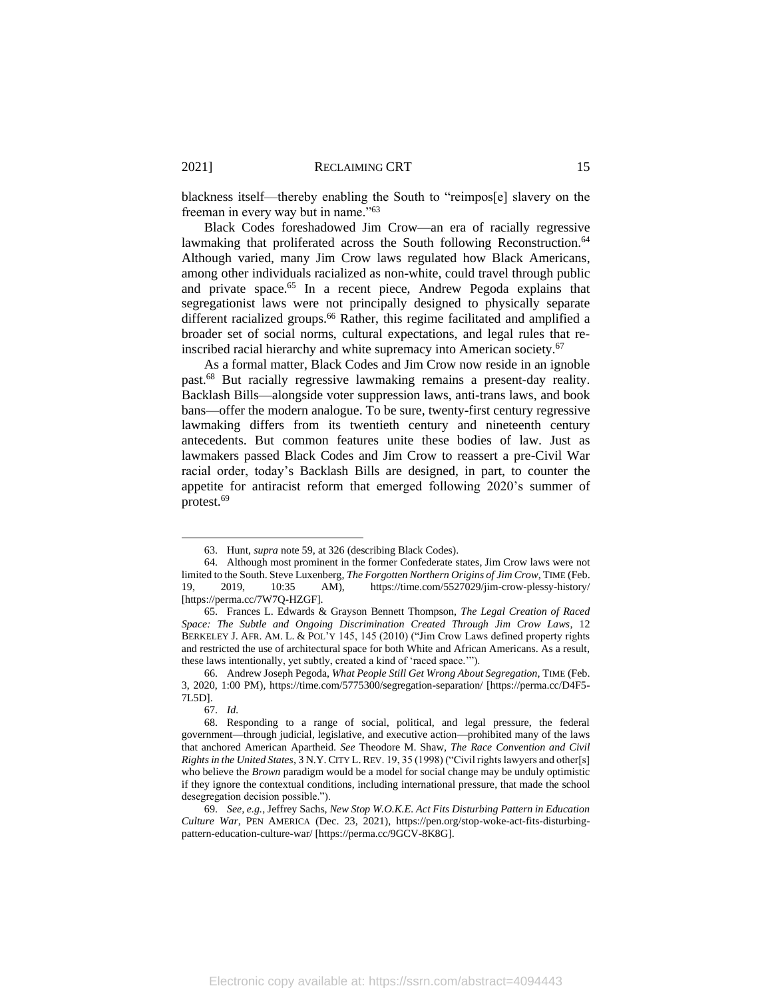blackness itself—thereby enabling the South to "reimpos[e] slavery on the freeman in every way but in name."<sup>63</sup>

Black Codes foreshadowed Jim Crow—an era of racially regressive lawmaking that proliferated across the South following Reconstruction.<sup>64</sup> Although varied, many Jim Crow laws regulated how Black Americans, among other individuals racialized as non-white, could travel through public and private space.<sup>65</sup> In a recent piece, Andrew Pegoda explains that segregationist laws were not principally designed to physically separate different racialized groups.<sup>66</sup> Rather, this regime facilitated and amplified a broader set of social norms, cultural expectations, and legal rules that reinscribed racial hierarchy and white supremacy into American society.<sup>67</sup>

As a formal matter, Black Codes and Jim Crow now reside in an ignoble past. <sup>68</sup> But racially regressive lawmaking remains a present-day reality. Backlash Bills—alongside voter suppression laws, anti-trans laws, and book bans—offer the modern analogue. To be sure, twenty-first century regressive lawmaking differs from its twentieth century and nineteenth century antecedents. But common features unite these bodies of law. Just as lawmakers passed Black Codes and Jim Crow to reassert a pre-Civil War racial order, today's Backlash Bills are designed, in part, to counter the appetite for antiracist reform that emerged following 2020's summer of protest. 69

<sup>63.</sup> Hunt, *supra* not[e 59,](#page-14-0) at 326 (describing Black Codes).

<sup>64.</sup> Although most prominent in the former Confederate states, Jim Crow laws were not limited to the South. Steve Luxenberg, *The Forgotten Northern Origins of Jim Crow*, TIME (Feb. 19, 2019, 10:35 AM), https://time.com/5527029/jim-crow-plessy-history/ [https://perma.cc/7W7Q-HZGF].

<sup>65.</sup> Frances L. Edwards & Grayson Bennett Thompson, *The Legal Creation of Raced Space: The Subtle and Ongoing Discrimination Created Through Jim Crow Laws*, 12 BERKELEY J. AFR. AM. L. & POL'Y 145, 145 (2010) ("Jim Crow Laws defined property rights and restricted the use of architectural space for both White and African Americans. As a result, these laws intentionally, yet subtly, created a kind of 'raced space.'").

<sup>66.</sup> Andrew Joseph Pegoda, *What People Still Get Wrong About Segregation,* TIME (Feb. 3, 2020, 1:00 PM), https://time.com/5775300/segregation-separation/ [https://perma.cc/D4F5- 7L5D].

<sup>67.</sup> *Id.*

<sup>68.</sup> Responding to a range of social, political, and legal pressure, the federal government—through judicial, legislative, and executive action—prohibited many of the laws that anchored American Apartheid. *See* Theodore M. Shaw, *The Race Convention and Civil Rights in the United States*, 3 N.Y. CITY L. REV. 19, 35 (1998) ("Civil rights lawyers and other[s] who believe the *Brown* paradigm would be a model for social change may be unduly optimistic if they ignore the contextual conditions, including international pressure, that made the school desegregation decision possible.").

<sup>69.</sup> *See, e.g.*, Jeffrey Sachs, *New Stop W.O.K.E. Act Fits Disturbing Pattern in Education Culture War*, PEN AMERICA (Dec. 23, 2021), https://pen.org/stop-woke-act-fits-disturbingpattern-education-culture-war/ [https://perma.cc/9GCV-8K8G].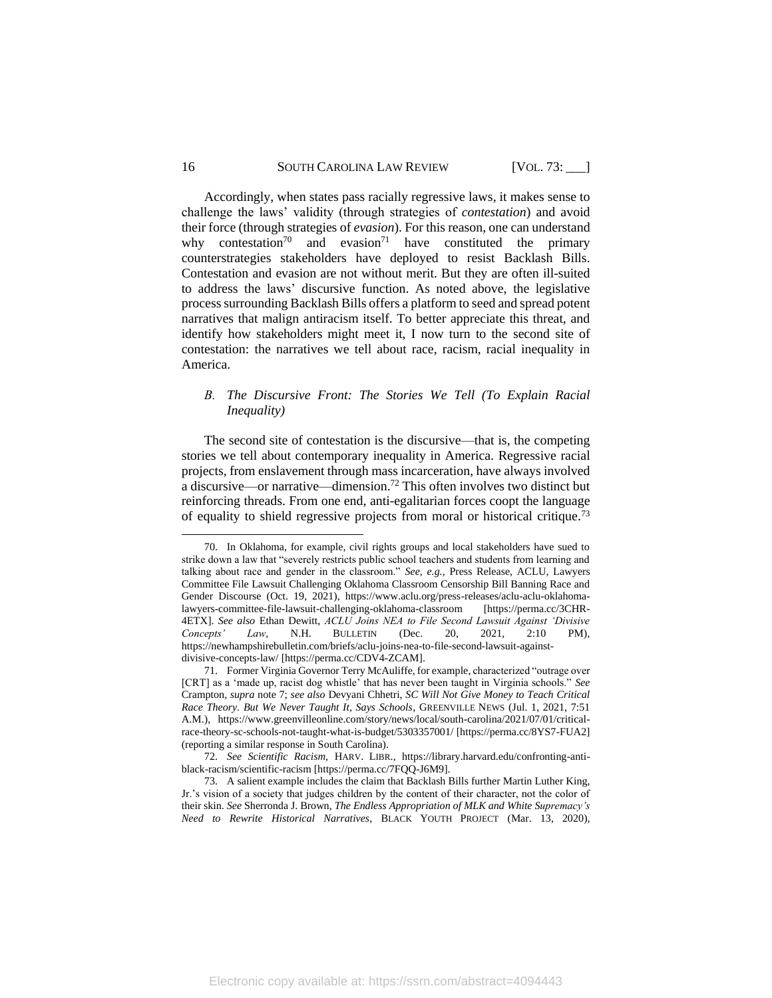16 SOUTH CAROLINA LAW REVIEW [VOL. 73: ]

Accordingly, when states pass racially regressive laws, it makes sense to challenge the laws' validity (through strategies of *contestation*) and avoid their force (through strategies of *evasion*). For this reason, one can understand why contestation<sup>70</sup> and evasion<sup>71</sup> have constituted the primary counterstrategies stakeholders have deployed to resist Backlash Bills. Contestation and evasion are not without merit. But they are often ill-suited to address the laws' discursive function. As noted above, the legislative process surrounding Backlash Bills offers a platform to seed and spread potent narratives that malign antiracism itself. To better appreciate this threat, and identify how stakeholders might meet it, I now turn to the second site of contestation: the narratives we tell about race, racism, racial inequality in America.

# *B. The Discursive Front: The Stories We Tell (To Explain Racial Inequality)*

The second site of contestation is the discursive—that is, the competing stories we tell about contemporary inequality in America. Regressive racial projects, from enslavement through mass incarceration, have always involved a discursive—or narrative—dimension.<sup>72</sup> This often involves two distinct but reinforcing threads. From one end, anti-egalitarian forces coopt the language of equality to shield regressive projects from moral or historical critique.<sup>73</sup>

<sup>70.</sup> In Oklahoma, for example, civil rights groups and local stakeholders have sued to strike down a law that "severely restricts public school teachers and students from learning and talking about race and gender in the classroom." *See, e.g.*, Press Release, ACLU, Lawyers Committee File Lawsuit Challenging Oklahoma Classroom Censorship Bill Banning Race and Gender Discourse (Oct. 19, 2021), https://www.aclu.org/press-releases/aclu-aclu-oklahomalawyers-committee-file-lawsuit-challenging-oklahoma-classroom [https://perma.cc/3CHR-4ETX]. *See also* Ethan Dewitt, *ACLU Joins NEA to File Second Lawsuit Against 'Divisive Concepts' Law*, N.H. BULLETIN (Dec. 20, 2021, 2:10 PM), https://newhampshirebulletin.com/briefs/aclu-joins-nea-to-file-second-lawsuit-againstdivisive-concepts-law/ [https://perma.cc/CDV4-ZCAM].

<sup>71.</sup> Former Virginia Governor Terry McAuliffe, for example, characterized "outrage over [CRT] as a 'made up, racist dog whistle' that has never been taught in Virginia schools." *See*  Crampton*, supra* note [7;](#page-3-1) *see also* Devyani Chhetri, *SC Will Not Give Money to Teach Critical Race Theory. But We Never Taught It, Says Schools*, GREENVILLE NEWS (Jul. 1, 2021, 7:51 A.M.), https://www.greenvilleonline.com/story/news/local/south-carolina/2021/07/01/criticalrace-theory-sc-schools-not-taught-what-is-budget/5303357001/ [https://perma.cc/8YS7-FUA2] (reporting a similar response in South Carolina).

<sup>72.</sup> *See Scientific Racism,* HARV. LIBR., https://library.harvard.edu/confronting-antiblack-racism/scientific-racism [https://perma.cc/7FQQ-J6M9].

<sup>73.</sup> A salient example includes the claim that Backlash Bills further Martin Luther King, Jr.'s vision of a society that judges children by the content of their character, not the color of their skin. *See* Sherronda J. Brown, *The Endless Appropriation of MLK and White Supremacy's Need to Rewrite Historical Narratives*, BLACK YOUTH PROJECT (Mar. 13, 2020),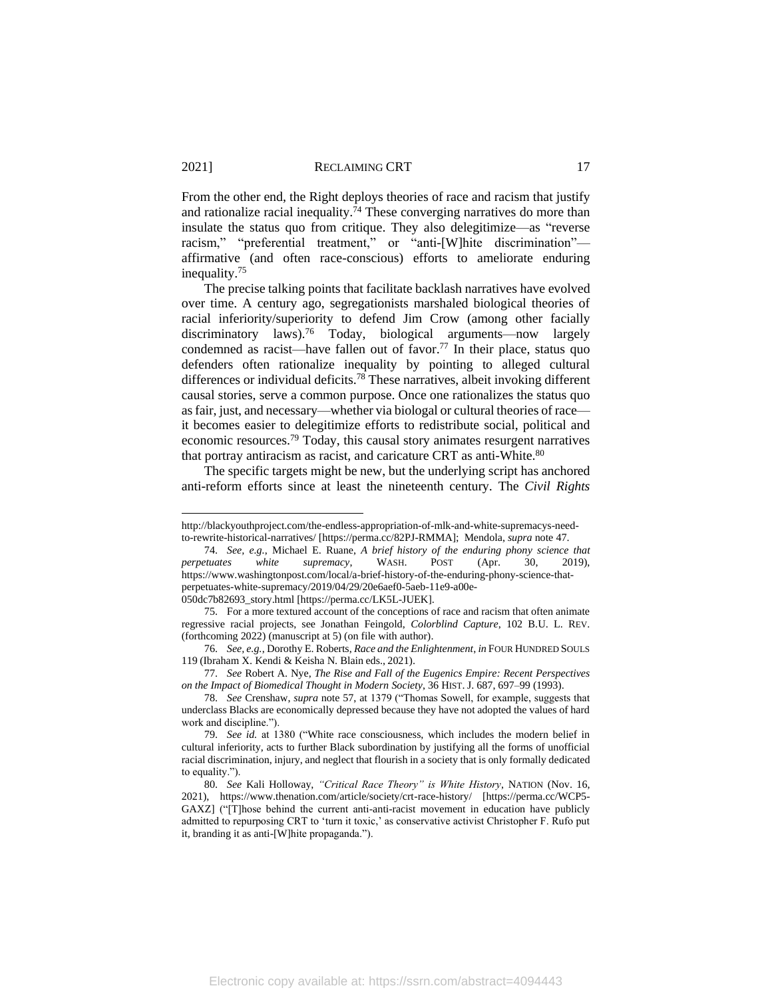From the other end, the Right deploys theories of race and racism that justify and rationalize racial inequality.<sup>74</sup> These converging narratives do more than insulate the status quo from critique. They also delegitimize—as "reverse racism," "preferential treatment," or "anti-[W]hite discrimination" affirmative (and often race-conscious) efforts to ameliorate enduring inequality.<sup>75</sup>

<span id="page-17-1"></span><span id="page-17-0"></span>The precise talking points that facilitate backlash narratives have evolved over time. A century ago, segregationists marshaled biological theories of racial inferiority/superiority to defend Jim Crow (among other facially discriminatory laws).<sup>76</sup> Today, biological arguments—now largely condemned as racist—have fallen out of favor. <sup>77</sup> In their place, status quo defenders often rationalize inequality by pointing to alleged cultural differences or individual deficits.<sup>78</sup> These narratives, albeit invoking different causal stories, serve a common purpose. Once one rationalizes the status quo as fair, just, and necessary—whether via biologal or cultural theories of race it becomes easier to delegitimize efforts to redistribute social, political and economic resources.<sup>79</sup> Today, this causal story animates resurgent narratives that portray antiracism as racist, and caricature CRT as anti-White.<sup>80</sup>

<span id="page-17-2"></span>The specific targets might be new, but the underlying script has anchored anti-reform efforts since at least the nineteenth century. The *Civil Rights* 

http://blackyouthproject.com/the-endless-appropriation-of-mlk-and-white-supremacys-needto-rewrite-historical-narratives/ [https://perma.cc/82PJ-RMMA]; Mendola, *supra* note [47.](#page-11-0)

<sup>74.</sup> *See, e.g.*, Michael E. Ruane, *A brief history of the enduring phony science that perpetuates white supremacy*, WASH. POST (Apr. 30, 2019), https://www.washingtonpost.com/local/a-brief-history-of-the-enduring-phony-science-thatperpetuates-white-supremacy/2019/04/29/20e6aef0-5aeb-11e9-a00e-050dc7b82693\_story.html [https://perma.cc/LK5L-JUEK].

<sup>75.</sup> For a more textured account of the conceptions of race and racism that often animate regressive racial projects, see Jonathan Feingold, *Colorblind Capture*, 102 B.U. L. REV. (forthcoming 2022) (manuscript at 5) (on file with author).

<sup>76.</sup> *See, e.g.*, Dorothy E. Roberts, *Race and the Enlightenment*, *in* FOUR HUNDRED SOULS 119 (Ibraham X. Kendi & Keisha N. Blain eds., 2021).

<sup>77.</sup> *See* Robert A. Nye, *The Rise and Fall of the Eugenics Empire: Recent Perspectives on the Impact of Biomedical Thought in Modern Society*, 36 HIST. J. 687, 697–99 (1993).

<sup>78.</sup> *See* Crenshaw, *supra* note [57,](#page-13-0) at 1379 ("Thomas Sowell, for example, suggests that underclass Blacks are economically depressed because they have not adopted the values of hard work and discipline.").

<sup>79.</sup> *See id.* at 1380 ("White race consciousness, which includes the modern belief in cultural inferiority, acts to further Black subordination by justifying all the forms of unofficial racial discrimination, injury, and neglect that flourish in a society that is only formally dedicated to equality.").

<sup>80.</sup> *See* Kali Holloway, *"Critical Race Theory" is White History*, NATION (Nov. 16, 2021), https://www.thenation.com/article/society/crt-race-history/ [https://perma.cc/WCP5- GAXZ] ("[T]hose behind the current anti-anti-racist movement in education have publicly admitted to repurposing CRT to 'turn it toxic,' as conservative activist Christopher F. Rufo put it, branding it as anti-[W]hite propaganda.").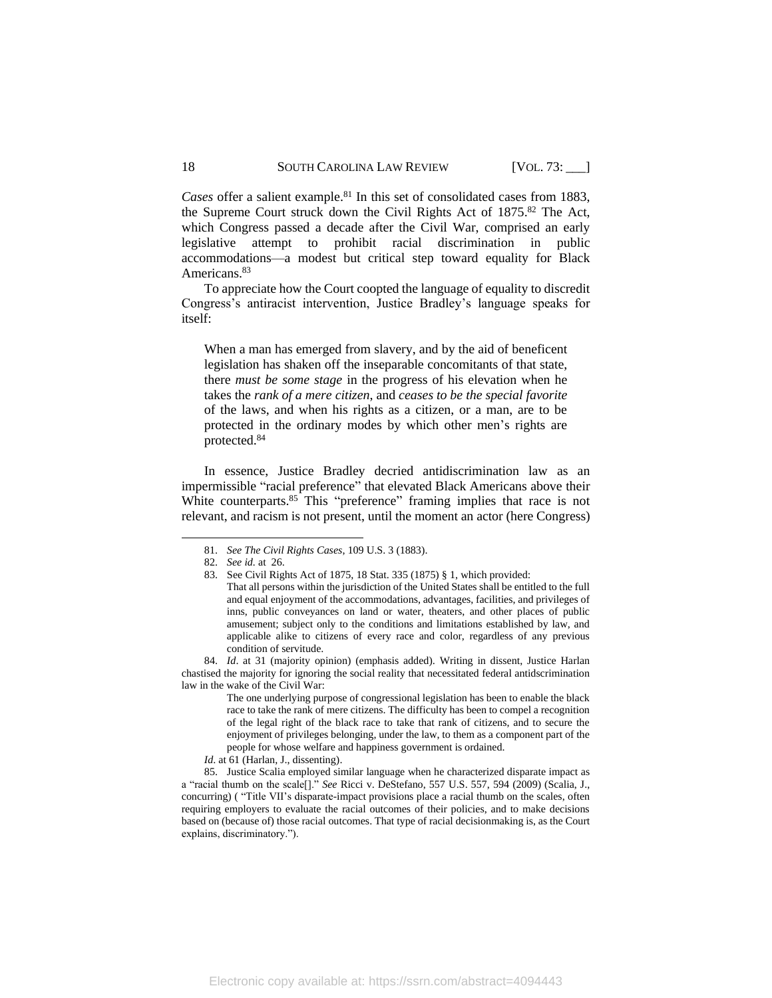*Cases* offer a salient example. <sup>81</sup> In this set of consolidated cases from 1883, the Supreme Court struck down the Civil Rights Act of 1875. <sup>82</sup> The Act, which Congress passed a decade after the Civil War, comprised an early legislative attempt to prohibit racial discrimination in public accommodations—a modest but critical step toward equality for Black Americans.<sup>83</sup>

To appreciate how the Court coopted the language of equality to discredit Congress's antiracist intervention, Justice Bradley's language speaks for itself:

When a man has emerged from slavery, and by the aid of beneficent legislation has shaken off the inseparable concomitants of that state, there *must be some stage* in the progress of his elevation when he takes the *rank of a mere citizen*, and *ceases to be the special favorite* of the laws, and when his rights as a citizen, or a man, are to be protected in the ordinary modes by which other men's rights are protected.<sup>84</sup>

In essence, Justice Bradley decried antidiscrimination law as an impermissible "racial preference" that elevated Black Americans above their White counterparts.<sup>85</sup> This "preference" framing implies that race is not relevant, and racism is not present, until the moment an actor (here Congress)

*Id.* at 61 (Harlan, J., dissenting).

85. Justice Scalia employed similar language when he characterized disparate impact as a "racial thumb on the scale[]." *See* Ricci v. DeStefano, 557 U.S. 557, 594 (2009) (Scalia, J., concurring) ( "Title VII's disparate-impact provisions place a racial thumb on the scales, often requiring employers to evaluate the racial outcomes of their policies, and to make decisions based on (because of) those racial outcomes. That type of racial decisionmaking is, as the Court explains, discriminatory.").

<sup>81.</sup> *See The Civil Rights Cases*, 109 U.S. 3 (1883).

<sup>82.</sup> *See id.* at 26.

<sup>83.</sup> See Civil Rights Act of 1875, 18 Stat. 335 (1875) § 1, which provided: That all persons within the jurisdiction of the United States shall be entitled to the full and equal enjoyment of the accommodations, advantages, facilities, and privileges of inns, public conveyances on land or water, theaters, and other places of public amusement; subject only to the conditions and limitations established by law, and applicable alike to citizens of every race and color, regardless of any previous condition of servitude.

<sup>84.</sup> *Id*. at 31 (majority opinion) (emphasis added). Writing in dissent, Justice Harlan chastised the majority for ignoring the social reality that necessitated federal antidscrimination law in the wake of the Civil War:

The one underlying purpose of congressional legislation has been to enable the black race to take the rank of mere citizens. The difficulty has been to compel a recognition of the legal right of the black race to take that rank of citizens, and to secure the enjoyment of privileges belonging, under the law, to them as a component part of the people for whose welfare and happiness government is ordained.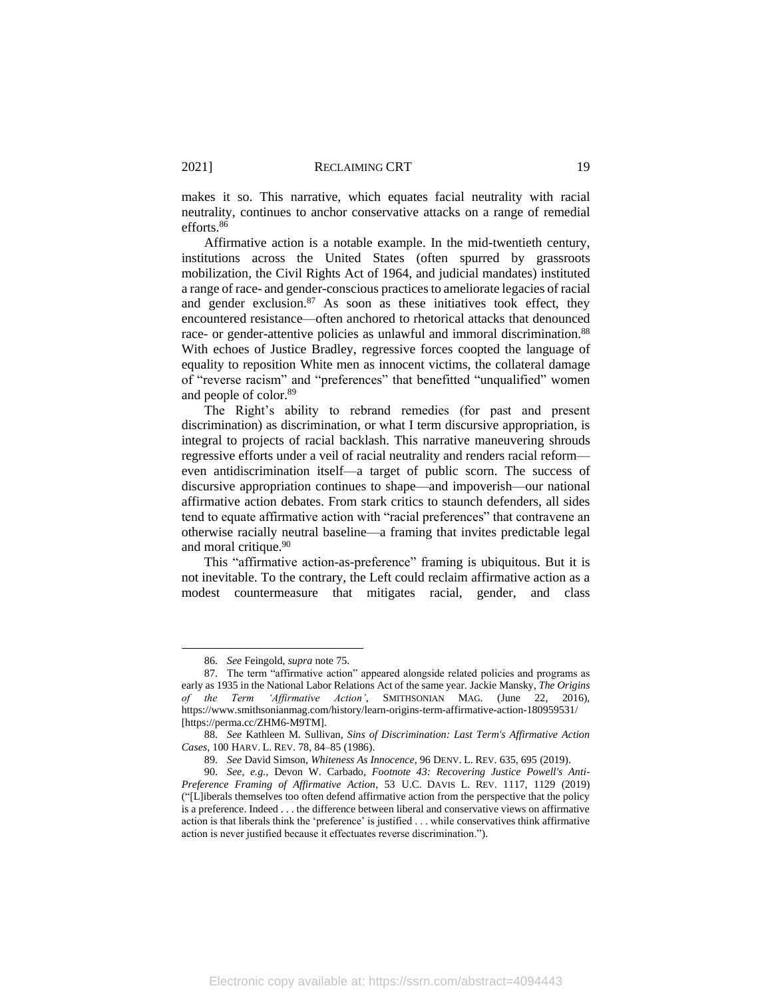makes it so. This narrative, which equates facial neutrality with racial neutrality, continues to anchor conservative attacks on a range of remedial efforts. 86

Affirmative action is a notable example. In the mid-twentieth century, institutions across the United States (often spurred by grassroots mobilization, the Civil Rights Act of 1964, and judicial mandates) instituted a range of race- and gender-conscious practices to ameliorate legacies of racial and gender exclusion.<sup>87</sup> As soon as these initiatives took effect, they encountered resistance—often anchored to rhetorical attacks that denounced race- or gender-attentive policies as unlawful and immoral discrimination.<sup>88</sup> With echoes of Justice Bradley, regressive forces coopted the language of equality to reposition White men as innocent victims, the collateral damage of "reverse racism" and "preferences" that benefitted "unqualified" women and people of color.<sup>89</sup>

<span id="page-19-0"></span>The Right's ability to rebrand remedies (for past and present discrimination) as discrimination, or what I term discursive appropriation, is integral to projects of racial backlash. This narrative maneuvering shrouds regressive efforts under a veil of racial neutrality and renders racial reform even antidiscrimination itself—a target of public scorn. The success of discursive appropriation continues to shape—and impoverish—our national affirmative action debates. From stark critics to staunch defenders, all sides tend to equate affirmative action with "racial preferences" that contravene an otherwise racially neutral baseline—a framing that invites predictable legal and moral critique. 90

<span id="page-19-1"></span>This "affirmative action-as-preference" framing is ubiquitous. But it is not inevitable. To the contrary, the Left could reclaim affirmative action as a modest countermeasure that mitigates racial, gender, and class

<sup>86.</sup> *See* Feingold, *supra* not[e 75.](#page-17-0)

<sup>87.</sup> The term "affirmative action" appeared alongside related policies and programs as early as 1935 in the National Labor Relations Act of the same year. Jackie Mansky, *The Origins of the Term 'Affirmative Action'*, SMITHSONIAN MAG. (June 22, 2016), https://www.smithsonianmag.com/history/learn-origins-term-affirmative-action-180959531/ [https://perma.cc/ZHM6-M9TM].

<sup>88.</sup> *See* Kathleen M. Sullivan, *Sins of Discrimination: Last Term's Affirmative Action Cases*, 100 HARV. L. REV. 78, 84–85 (1986).

<sup>89.</sup> *See* David Simson, *Whiteness As Innocence*, 96 DENV. L. REV. 635, 695 (2019).

<sup>90.</sup> *See, e.g.*, Devon W. Carbado, *Footnote 43: Recovering Justice Powell's Anti-Preference Framing of Affirmative Action*, 53 U.C. DAVIS L. REV. 1117, 1129 (2019) ("[L]iberals themselves too often defend affirmative action from the perspective that the policy is a preference. Indeed . . . the difference between liberal and conservative views on affirmative action is that liberals think the 'preference' is justified . . . while conservatives think affirmative action is never justified because it effectuates reverse discrimination.").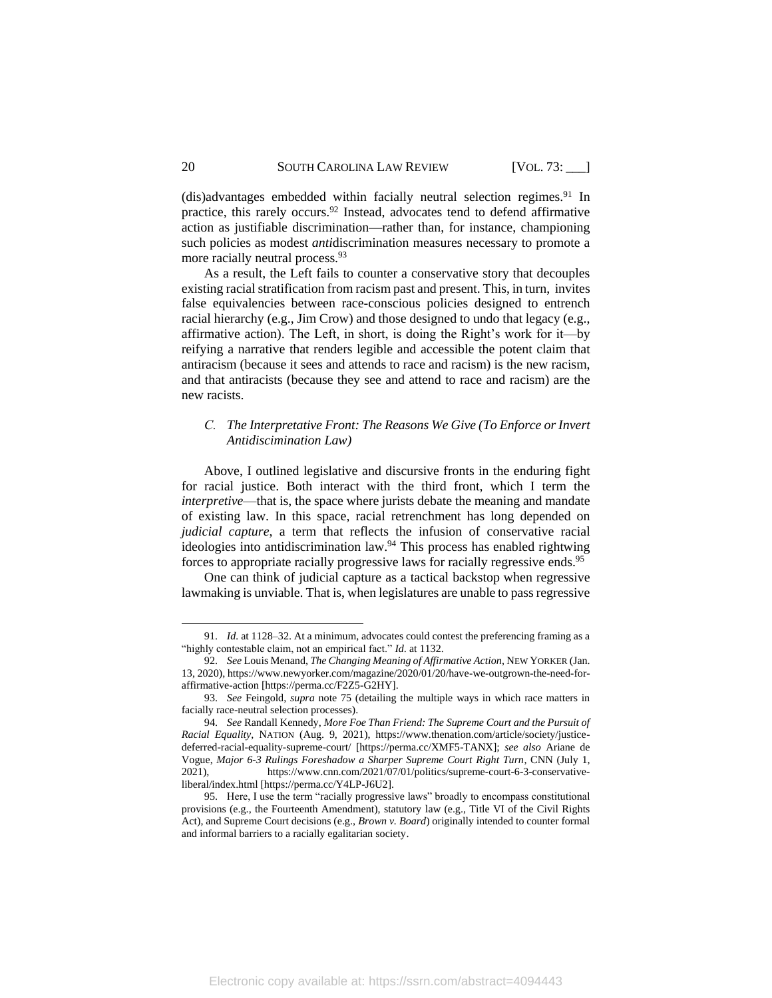(dis)advantages embedded within facially neutral selection regimes.<sup>91</sup> In practice, this rarely occurs.<sup>92</sup> Instead, advocates tend to defend affirmative action as justifiable discrimination—rather than, for instance, championing such policies as modest *anti*discrimination measures necessary to promote a more racially neutral process.<sup>93</sup>

As a result, the Left fails to counter a conservative story that decouples existing racial stratification from racism past and present. This, in turn, invites false equivalencies between race-conscious policies designed to entrench racial hierarchy (e.g., Jim Crow) and those designed to undo that legacy (e.g., affirmative action). The Left, in short, is doing the Right's work for it—by reifying a narrative that renders legible and accessible the potent claim that antiracism (because it sees and attends to race and racism) is the new racism, and that antiracists (because they see and attend to race and racism) are the new racists.

# <span id="page-20-0"></span>*C. The Interpretative Front: The Reasons We Give (To Enforce or Invert Antidiscimination Law)*

Above, I outlined legislative and discursive fronts in the enduring fight for racial justice. Both interact with the third front, which I term the *interpretive*—that is, the space where jurists debate the meaning and mandate of existing law. In this space, racial retrenchment has long depended on *judicial capture*, a term that reflects the infusion of conservative racial ideologies into antidiscrimination law. <sup>94</sup> This process has enabled rightwing forces to appropriate racially progressive laws for racially regressive ends.<sup>95</sup>

<span id="page-20-1"></span>One can think of judicial capture as a tactical backstop when regressive lawmaking is unviable. That is, when legislatures are unable to pass regressive

<sup>91.</sup> *Id.* at 1128–32. At a minimum, advocates could contest the preferencing framing as a "highly contestable claim, not an empirical fact." *Id*. at 1132.

<sup>92.</sup> *See* Louis Menand, *The Changing Meaning of Affirmative Action*, NEW YORKER (Jan. 13, 2020), https://www.newyorker.com/magazine/2020/01/20/have-we-outgrown-the-need-foraffirmative-action [https://perma.cc/F2Z5-G2HY].

<sup>93.</sup> *See* Feingold, *supra* note [75](#page-17-0) (detailing the multiple ways in which race matters in facially race-neutral selection processes).

<sup>94.</sup> *See* Randall Kennedy, *More Foe Than Friend: The Supreme Court and the Pursuit of Racial Equality*, NATION (Aug. 9, 2021), https://www.thenation.com/article/society/justicedeferred-racial-equality-supreme-court/ [https://perma.cc/XMF5-TANX]; *see also* Ariane de Vogue, *Major 6-3 Rulings Foreshadow a Sharper Supreme Court Right Turn*, CNN (July 1, 2021), https://www.cnn.com/2021/07/01/politics/supreme-court-6-3-conservativeliberal/index.html [https://perma.cc/Y4LP-J6U2].

<sup>95.</sup> Here, I use the term "racially progressive laws" broadly to encompass constitutional provisions (e.g., the Fourteenth Amendment), statutory law (e.g., Title VI of the Civil Rights Act), and Supreme Court decisions (e.g., *Brown v. Board*) originally intended to counter formal and informal barriers to a racially egalitarian society.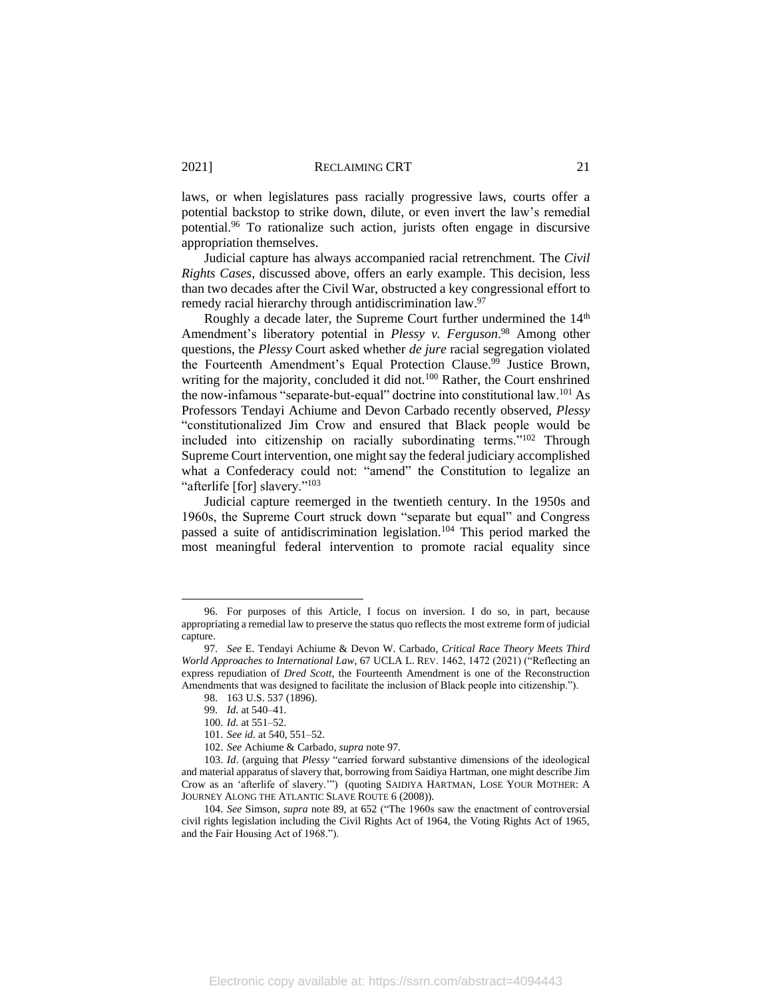laws, or when legislatures pass racially progressive laws, courts offer a potential backstop to strike down, dilute, or even invert the law's remedial potential.<sup>96</sup> To rationalize such action, jurists often engage in discursive appropriation themselves.

Judicial capture has always accompanied racial retrenchment. The *Civil Rights Cases*, discussed above, offers an early example. This decision, less than two decades after the Civil War, obstructed a key congressional effort to remedy racial hierarchy through antidiscrimination law.<sup>97</sup>

<span id="page-21-0"></span>Roughly a decade later, the Supreme Court further undermined the  $14<sup>th</sup>$ Amendment's liberatory potential in *Plessy v. Ferguson*. <sup>98</sup> Among other questions, the *Plessy* Court asked whether *de jure* racial segregation violated the Fourteenth Amendment's Equal Protection Clause.<sup>99</sup> Justice Brown, writing for the majority, concluded it did not.<sup>100</sup> Rather, the Court enshrined the now-infamous "separate-but-equal" doctrine into constitutional law.<sup>101</sup> As Professors Tendayi Achiume and Devon Carbado recently observed, *Plessy*  "constitutionalized Jim Crow and ensured that Black people would be included into citizenship on racially subordinating terms."<sup>102</sup> Through Supreme Court intervention, one might say the federal judiciary accomplished what a Confederacy could not: "amend" the Constitution to legalize an "afterlife [for] slavery."<sup>103</sup>

Judicial capture reemerged in the twentieth century. In the 1950s and 1960s, the Supreme Court struck down "separate but equal" and Congress passed a suite of antidiscrimination legislation.<sup>104</sup> This period marked the most meaningful federal intervention to promote racial equality since

<sup>96.</sup> For purposes of this Article, I focus on inversion. I do so, in part, because appropriating a remedial law to preserve the status quo reflects the most extreme form of judicial capture.

<sup>97.</sup> *See* E. Tendayi Achiume & Devon W. Carbado, *Critical Race Theory Meets Third World Approaches to International Law*, 67 UCLA L. REV. 1462, 1472 (2021) ("Reflecting an express repudiation of *Dred Scott*, the Fourteenth Amendment is one of the Reconstruction Amendments that was designed to facilitate the inclusion of Black people into citizenship.").

<sup>98.</sup> 163 U.S. 537 (1896).

<sup>99.</sup> *Id.* at 540–41.

<sup>100.</sup> *Id.* at 551–52.

<sup>101.</sup> *See id.* at 540, 551–52.

<sup>102.</sup> *See* Achiume & Carbado, *supra* not[e 97](#page-21-0)*.*

<sup>103.</sup> *Id*. (arguing that *Plessy* "carried forward substantive dimensions of the ideological and material apparatus of slavery that, borrowing from Saidiya Hartman, one might describe Jim Crow as an 'afterlife of slavery.'") (quoting SAIDIYA HARTMAN, LOSE YOUR MOTHER: A JOURNEY ALONG THE ATLANTIC SLAVE ROUTE 6 (2008)).

<sup>104.</sup> *See* Simson, *supra* note [89,](#page-19-0) at 652 ("The 1960s saw the enactment of controversial civil rights legislation including the Civil Rights Act of 1964, the Voting Rights Act of 1965, and the Fair Housing Act of 1968.").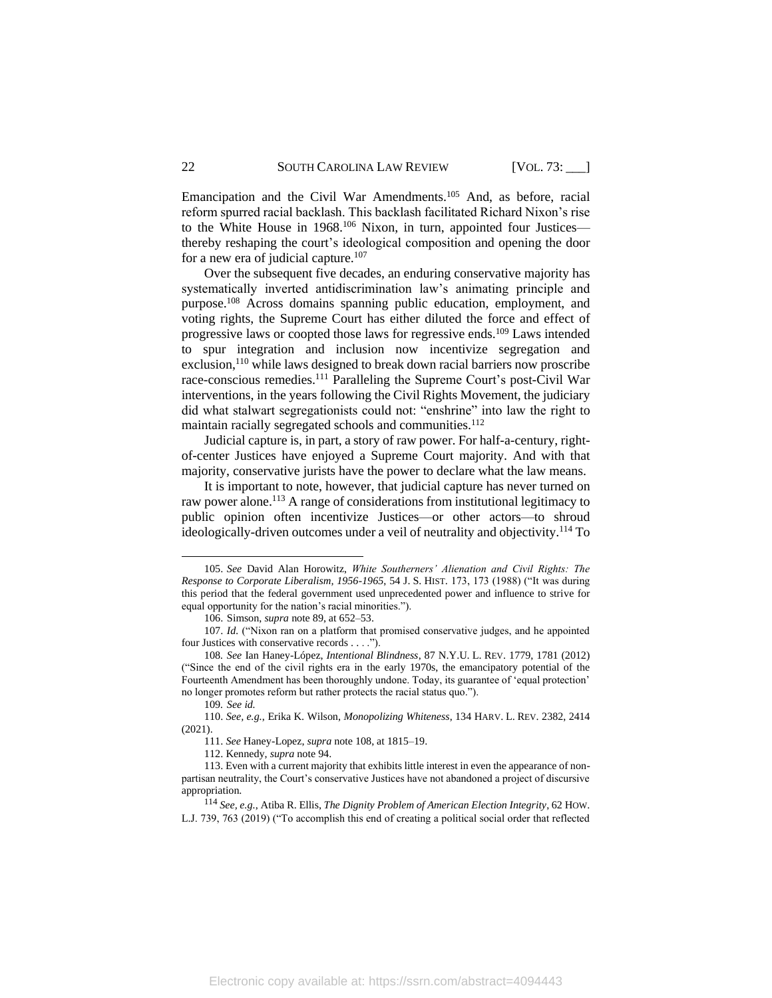Emancipation and the Civil War Amendments.<sup>105</sup> And, as before, racial reform spurred racial backlash. This backlash facilitated Richard Nixon's rise to the White House in 1968.<sup>106</sup> Nixon, in turn, appointed four Justices thereby reshaping the court's ideological composition and opening the door for a new era of judicial capture.<sup>107</sup>

<span id="page-22-0"></span>Over the subsequent five decades, an enduring conservative majority has systematically inverted antidiscrimination law's animating principle and purpose.<sup>108</sup> Across domains spanning public education, employment, and voting rights, the Supreme Court has either diluted the force and effect of progressive laws or coopted those laws for regressive ends. <sup>109</sup> Laws intended to spur integration and inclusion now incentivize segregation and exclusion,<sup>110</sup> while laws designed to break down racial barriers now proscribe race-conscious remedies.<sup>111</sup> Paralleling the Supreme Court's post-Civil War interventions, in the years following the Civil Rights Movement, the judiciary did what stalwart segregationists could not: "enshrine" into law the right to maintain racially segregated schools and communities.<sup>112</sup>

Judicial capture is, in part, a story of raw power. For half-a-century, rightof-center Justices have enjoyed a Supreme Court majority. And with that majority, conservative jurists have the power to declare what the law means.

It is important to note, however, that judicial capture has never turned on raw power alone.<sup>113</sup> A range of considerations from institutional legitimacy to public opinion often incentivize Justices—or other actors—to shroud ideologically-driven outcomes under a veil of neutrality and objectivity. <sup>114</sup> To

<sup>105.</sup> *See* David Alan Horowitz, *White Southerners' Alienation and Civil Rights: The Response to Corporate Liberalism, 1956-1965*, 54 J. S. HIST. 173, 173 (1988) ("It was during this period that the federal government used unprecedented power and influence to strive for equal opportunity for the nation's racial minorities.").

<sup>106.</sup> Simson, *supra* note [89,](#page-19-0) at 652–53.

<sup>107.</sup> *Id.* ("Nixon ran on a platform that promised conservative judges, and he appointed four Justices with conservative records . . . .").

<sup>108</sup>*. See* Ian Haney-López, *Intentional Blindness*, 87 N.Y.U. L. REV. 1779, 1781 (2012) ("Since the end of the civil rights era in the early 1970s, the emancipatory potential of the Fourteenth Amendment has been thoroughly undone. Today, its guarantee of 'equal protection' no longer promotes reform but rather protects the racial status quo.").

<sup>109</sup>*. See id.* 

<sup>110.</sup> *See, e.g.*, Erika K. Wilson, *Monopolizing Whiteness*, 134 HARV. L. REV. 2382, 2414 (2021).

<sup>111.</sup> *See* Haney-Lopez, *supra* not[e 108,](#page-22-0) at 1815–19.

<sup>112.</sup> Kennedy, *supra* not[e 94.](#page-20-1)

<sup>113.</sup> Even with a current majority that exhibits little interest in even the appearance of nonpartisan neutrality, the Court's conservative Justices have not abandoned a project of discursive appropriation.

<sup>114</sup> *See, e.g.*, Atiba R. Ellis, *The Dignity Problem of American Election Integrity*, 62 HOW. L.J. 739, 763 (2019) ("To accomplish this end of creating a political social order that reflected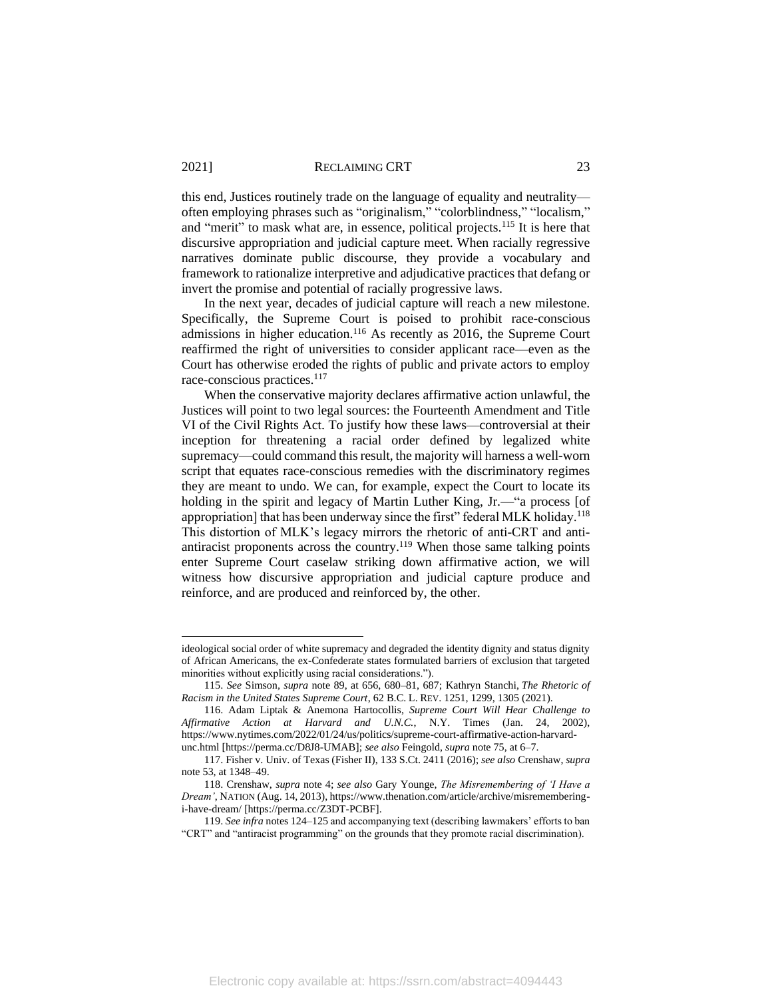this end, Justices routinely trade on the language of equality and neutrality often employing phrases such as "originalism," "colorblindness," "localism," and "merit" to mask what are, in essence, political projects.<sup>115</sup> It is here that discursive appropriation and judicial capture meet. When racially regressive narratives dominate public discourse, they provide a vocabulary and framework to rationalize interpretive and adjudicative practices that defang or invert the promise and potential of racially progressive laws.

In the next year, decades of judicial capture will reach a new milestone. Specifically, the Supreme Court is poised to prohibit race-conscious admissions in higher education.<sup>116</sup> As recently as 2016, the Supreme Court reaffirmed the right of universities to consider applicant race—even as the Court has otherwise eroded the rights of public and private actors to employ race-conscious practices.<sup>117</sup>

When the conservative majority declares affirmative action unlawful, the Justices will point to two legal sources: the Fourteenth Amendment and Title VI of the Civil Rights Act. To justify how these laws—controversial at their inception for threatening a racial order defined by legalized white supremacy—could command this result, the majority will harness a well-worn script that equates race-conscious remedies with the discriminatory regimes they are meant to undo. We can, for example, expect the Court to locate its holding in the spirit and legacy of Martin Luther King, Jr.—"a process [of appropriation] that has been underway since the first" federal MLK holiday.<sup>118</sup> This distortion of MLK's legacy mirrors the rhetoric of anti-CRT and antiantiracist proponents across the country.<sup>119</sup> When those same talking points enter Supreme Court caselaw striking down affirmative action, we will witness how discursive appropriation and judicial capture produce and reinforce, and are produced and reinforced by, the other.

ideological social order of white supremacy and degraded the identity dignity and status dignity of African Americans, the ex-Confederate states formulated barriers of exclusion that targeted minorities without explicitly using racial considerations.").

<sup>115.</sup> *See* Simson*, supra* note [89,](#page-19-0) at 656, 680–81, 687; Kathryn Stanchi, *The Rhetoric of Racism in the United States Supreme Court*, 62 B.C. L. REV. 1251, 1299, 1305 (2021).

<sup>116.</sup> Adam Liptak & Anemona Hartocollis, *Supreme Court Will Hear Challenge to Affirmative Action at Harvard and U.N.C.*, N.Y. Times (Jan. 24, 2002), https://www.nytimes.com/2022/01/24/us/politics/supreme-court-affirmative-action-harvardunc.html [https://perma.cc/D8J8-UMAB]; *see also* Feingold, *supra* not[e 75,](#page-17-0) at 6–7.

<sup>117.</sup> Fisher v. Univ. of Texas (Fisher II), 133 S.Ct. 2411 (2016); *see also* Crenshaw, *supra*  note 53, at 1348–49.

<sup>118.</sup> Crenshaw, *supra* note [4;](#page-2-1) *see also* Gary Younge, *The Misremembering of 'I Have a Dream'*, NATION (Aug. 14, 2013), https://www.thenation.com/article/archive/misrememberingi-have-dream/ [https://perma.cc/Z3DT-PCBF].

<sup>119.</sup> *See infra* note[s 124](#page-24-0)[–125](#page-25-0) and accompanying text (describing lawmakers' efforts to ban "CRT" and "antiracist programming" on the grounds that they promote racial discrimination).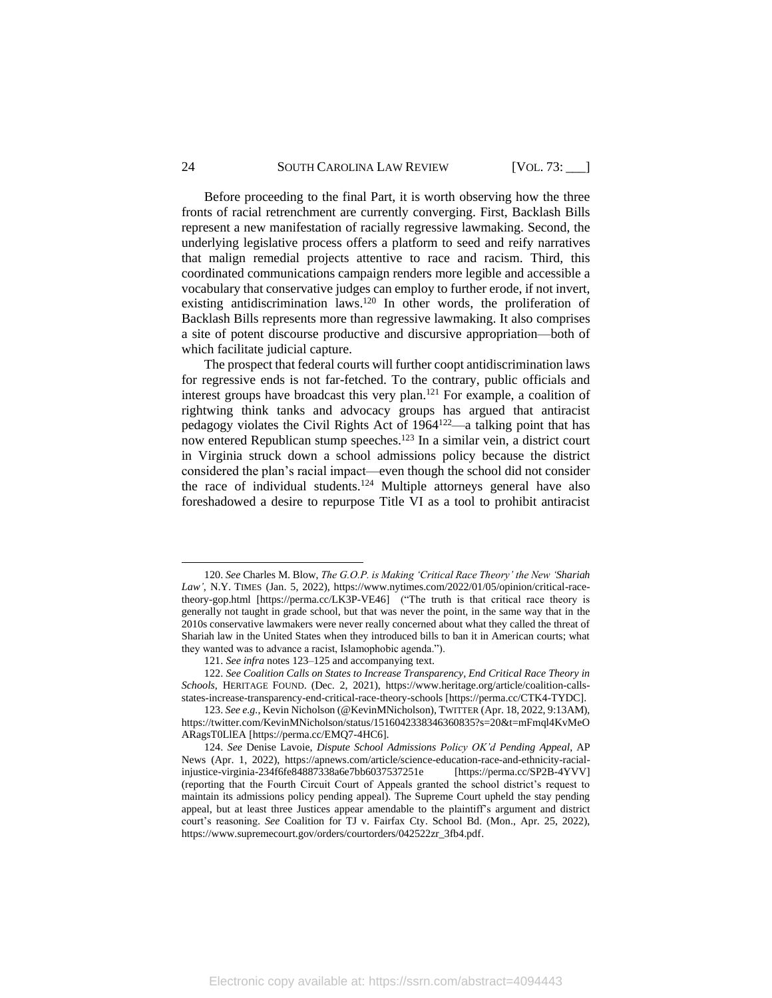#### 24 SOUTH CAROLINA LAW REVIEW [VOL. 73: ]

Before proceeding to the final Part, it is worth observing how the three fronts of racial retrenchment are currently converging. First, Backlash Bills represent a new manifestation of racially regressive lawmaking. Second, the underlying legislative process offers a platform to seed and reify narratives that malign remedial projects attentive to race and racism. Third, this coordinated communications campaign renders more legible and accessible a vocabulary that conservative judges can employ to further erode, if not invert, existing antidiscrimination laws.<sup>120</sup> In other words, the proliferation of Backlash Bills represents more than regressive lawmaking. It also comprises a site of potent discourse productive and discursive appropriation—both of which facilitate judicial capture.

<span id="page-24-1"></span>The prospect that federal courts will further coopt antidiscrimination laws for regressive ends is not far-fetched. To the contrary, public officials and interest groups have broadcast this very plan.<sup>121</sup> For example, a coalition of rightwing think tanks and advocacy groups has argued that antiracist pedagogy violates the Civil Rights Act of 1964<sup>122</sup>—a talking point that has now entered Republican stump speeches.<sup>123</sup> In a similar vein, a district court in Virginia struck down a school admissions policy because the district considered the plan's racial impact—even though the school did not consider the race of individual students.<sup>124</sup> Multiple attorneys general have also foreshadowed a desire to repurpose Title VI as a tool to prohibit antiracist

<span id="page-24-0"></span><sup>120.</sup> *See* Charles M. Blow, *The G.O.P. is Making 'Critical Race Theory' the New 'Shariah Law'*, N.Y. TIMES (Jan. 5, 2022), https://www.nytimes.com/2022/01/05/opinion/critical-racetheory-gop.html [https://perma.cc/LK3P-VE46] ("The truth is that critical race theory is generally not taught in grade school, but that was never the point, in the same way that in the 2010s conservative lawmakers were never really concerned about what they called the threat of Shariah law in the United States when they introduced bills to ban it in American courts; what they wanted was to advance a racist, Islamophobic agenda.").

<sup>121.</sup> *See infra* note[s 123](#page-24-1)[–125](#page-25-0) and accompanying text.

<sup>122.</sup> *See Coalition Calls on States to Increase Transparency, End Critical Race Theory in Schools*, HERITAGE FOUND. (Dec. 2, 2021), https://www.heritage.org/article/coalition-callsstates-increase-transparency-end-critical-race-theory-schools [https://perma.cc/CTK4-TYDC].

<sup>123.</sup> *See e.g.*, Kevin Nicholson (@KevinMNicholson), TWITTER (Apr. 18, 2022, 9:13AM), https://twitter.com/KevinMNicholson/status/1516042338346360835?s=20&t=mFmql4KvMeO ARagsT0LlEA [https://perma.cc/EMQ7-4HC6].

<sup>124.</sup> *See* Denise Lavoie, *Dispute School Admissions Policy OK'd Pending Appeal*, AP News (Apr. 1, 2022), https://apnews.com/article/science-education-race-and-ethnicity-racialinjustice-virginia-234f6fe84887338a6e7bb6037537251e [https://perma.cc/SP2B-4YVV] (reporting that the Fourth Circuit Court of Appeals granted the school district's request to maintain its admissions policy pending appeal). The Supreme Court upheld the stay pending appeal, but at least three Justices appear amendable to the plaintiff's argument and district court's reasoning. *See* Coalition for TJ v. Fairfax Cty. School Bd. (Mon., Apr. 25, 2022), https://www.supremecourt.gov/orders/courtorders/042522zr\_3fb4.pdf.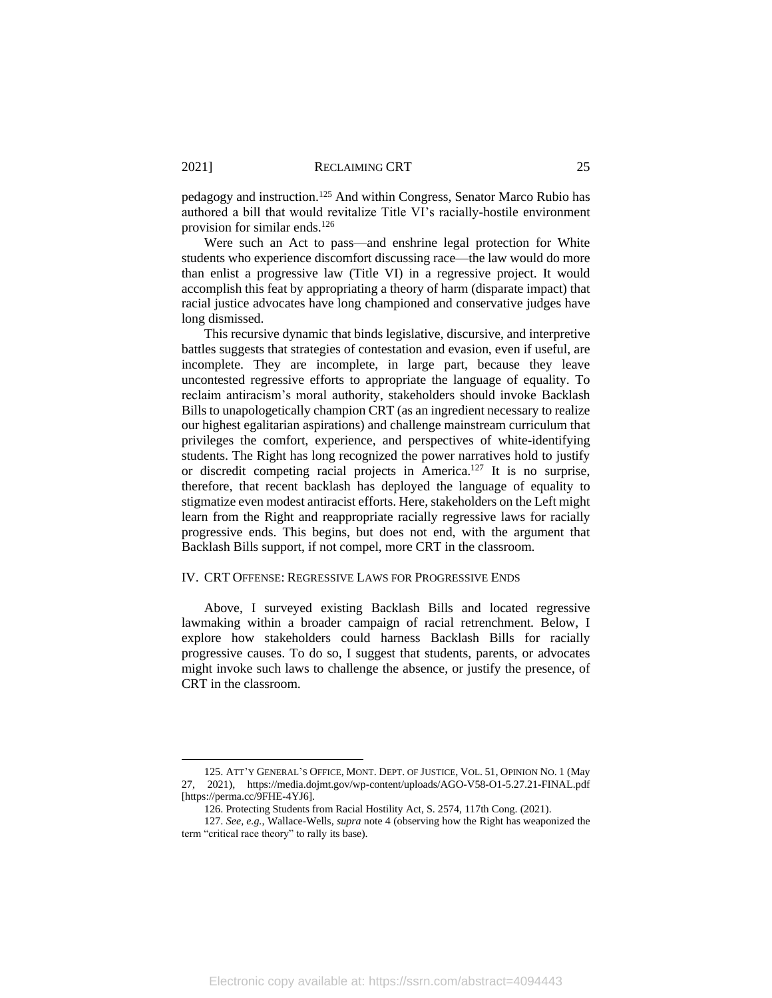<span id="page-25-0"></span>pedagogy and instruction.<sup>125</sup> And within Congress, Senator Marco Rubio has authored a bill that would revitalize Title VI's racially-hostile environment provision for similar ends.<sup>126</sup>

Were such an Act to pass—and enshrine legal protection for White students who experience discomfort discussing race—the law would do more than enlist a progressive law (Title VI) in a regressive project. It would accomplish this feat by appropriating a theory of harm (disparate impact) that racial justice advocates have long championed and conservative judges have long dismissed.

This recursive dynamic that binds legislative, discursive, and interpretive battles suggests that strategies of contestation and evasion, even if useful, are incomplete. They are incomplete, in large part, because they leave uncontested regressive efforts to appropriate the language of equality. To reclaim antiracism's moral authority, stakeholders should invoke Backlash Bills to unapologetically champion CRT (as an ingredient necessary to realize our highest egalitarian aspirations) and challenge mainstream curriculum that privileges the comfort, experience, and perspectives of white-identifying students. The Right has long recognized the power narratives hold to justify or discredit competing racial projects in America. <sup>127</sup> It is no surprise, therefore, that recent backlash has deployed the language of equality to stigmatize even modest antiracist efforts. Here, stakeholders on the Left might learn from the Right and reappropriate racially regressive laws for racially progressive ends. This begins, but does not end, with the argument that Backlash Bills support, if not compel, more CRT in the classroom.

#### IV. CRT OFFENSE: REGRESSIVE LAWS FOR PROGRESSIVE ENDS

Above, I surveyed existing Backlash Bills and located regressive lawmaking within a broader campaign of racial retrenchment. Below, I explore how stakeholders could harness Backlash Bills for racially progressive causes. To do so, I suggest that students, parents, or advocates might invoke such laws to challenge the absence, or justify the presence, of CRT in the classroom.

<sup>125.</sup> ATT'Y GENERAL'S OFFICE, MONT. DEPT. OF JUSTICE, VOL. 51, OPINION NO. 1 (May 27, 2021), https://media.dojmt.gov/wp-content/uploads/AGO-V58-O1-5.27.21-FINAL.pdf [https://perma.cc/9FHE-4YJ6].

<sup>126.</sup> Protecting Students from Racial Hostility Act, S. 2574, 117th Cong. (2021).

<sup>127.</sup> *See, e.g.*, Wallace-Wells, *supra* note 4 (observing how the Right has weaponized the term "critical race theory" to rally its base).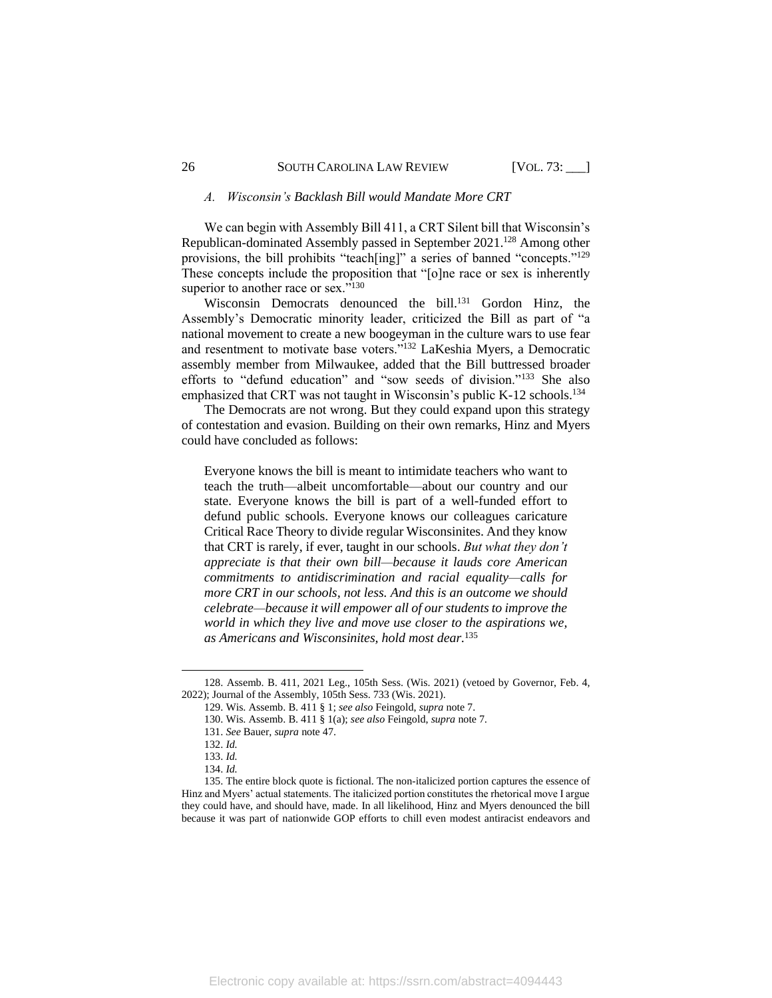#### *A. Wisconsin's Backlash Bill would Mandate More CRT*

We can begin with Assembly Bill 411, a CRT Silent bill that Wisconsin's Republican-dominated Assembly passed in September 2021.<sup>128</sup> Among other provisions, the bill prohibits "teach[ing]" a series of banned "concepts."<sup>129</sup> These concepts include the proposition that "[o]ne race or sex is inherently superior to another race or sex."<sup>130</sup>

Wisconsin Democrats denounced the bill.<sup>131</sup> Gordon Hinz, the Assembly's Democratic minority leader, criticized the Bill as part of "a national movement to create a new boogeyman in the culture wars to use fear and resentment to motivate base voters."<sup>132</sup> LaKeshia Myers, a Democratic assembly member from Milwaukee, added that the Bill buttressed broader efforts to "defund education" and "sow seeds of division."<sup>133</sup> She also emphasized that CRT was not taught in Wisconsin's public K-12 schools.<sup>134</sup>

The Democrats are not wrong. But they could expand upon this strategy of contestation and evasion. Building on their own remarks, Hinz and Myers could have concluded as follows:

Everyone knows the bill is meant to intimidate teachers who want to teach the truth—albeit uncomfortable—about our country and our state. Everyone knows the bill is part of a well-funded effort to defund public schools. Everyone knows our colleagues caricature Critical Race Theory to divide regular Wisconsinites. And they know that CRT is rarely, if ever, taught in our schools. *But what they don't appreciate is that their own bill—because it lauds core American commitments to antidiscrimination and racial equality—calls for more CRT in our schools, not less. And this is an outcome we should celebrate—because it will empower all of our students to improve the world in which they live and move use closer to the aspirations we, as Americans and Wisconsinites, hold most dear.* 135

<sup>128.</sup> Assemb. B. 411, 2021 Leg., 105th Sess. (Wis. 2021) (vetoed by Governor, Feb. 4, 2022); Journal of the Assembly, 105th Sess. 733 (Wis. 2021).

<sup>129.</sup> Wis. Assemb. B. 411 § 1; *see also* Feingold, *supra* not[e 7.](#page-3-1)

<sup>130.</sup> Wis. Assemb. B. 411 § 1(a); *see also* Feingold, *supra* note [7](#page-3-1)*.*

<sup>131.</sup> *See* Bauer, *supra* not[e 47.](#page-11-0)

<sup>132.</sup> *Id.*

<sup>133.</sup> *Id.*

<sup>134.</sup> *Id.*

<sup>135.</sup> The entire block quote is fictional. The non-italicized portion captures the essence of Hinz and Myers' actual statements. The italicized portion constitutes the rhetorical move I argue they could have, and should have, made. In all likelihood, Hinz and Myers denounced the bill because it was part of nationwide GOP efforts to chill even modest antiracist endeavors and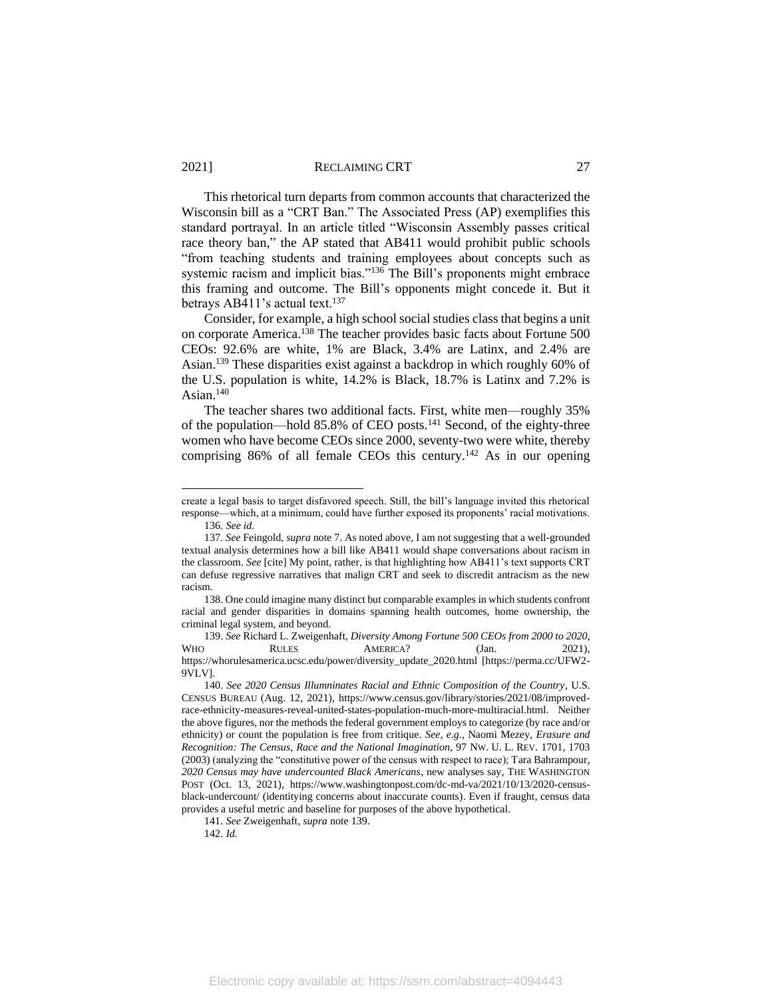This rhetorical turn departs from common accounts that characterized the Wisconsin bill as a "CRT Ban." The Associated Press (AP) exemplifies this standard portrayal. In an article titled "Wisconsin Assembly passes critical race theory ban," the AP stated that AB411 would prohibit public schools "from teaching students and training employees about concepts such as systemic racism and implicit bias."<sup>136</sup> The Bill's proponents might embrace this framing and outcome. The Bill's opponents might concede it. But it betrays AB411's actual text.<sup>137</sup>

<span id="page-27-0"></span>Consider, for example, a high school social studies class that begins a unit on corporate America.<sup>138</sup> The teacher provides basic facts about Fortune 500 CEOs: 92.6% are white, 1% are Black, 3.4% are Latinx, and 2.4% are Asian.<sup>139</sup> These disparities exist against a backdrop in which roughly 60% of the U.S. population is white, 14.2% is Black, 18.7% is Latinx and 7.2% is Asian. 140

The teacher shares two additional facts. First, white men—roughly 35% of the population—hold 85.8% of CEO posts.<sup>141</sup> Second, of the eighty-three women who have become CEOs since 2000, seventy-two were white, thereby comprising 86% of all female CEOs this century.<sup>142</sup> As in our opening

create a legal basis to target disfavored speech. Still, the bill's language invited this rhetorical response—which, at a minimum, could have further exposed its proponents' racial motivations. 136. *See id.* 

<sup>137.</sup> *See* Feingold, *supra* not[e 7.](#page-3-1) As noted above, I am not suggesting that a well-grounded textual analysis determines how a bill like AB411 would shape conversations about racism in the classroom. *See* [cite] My point, rather, is that highlighting how AB411's text supports CRT can defuse regressive narratives that malign CRT and seek to discredit antracism as the new racism.

<sup>138.</sup> One could imagine many distinct but comparable examples in which students confront racial and gender disparities in domains spanning health outcomes, home ownership, the criminal legal system, and beyond.

<sup>139.</sup> *See* Richard L. Zweigenhaft, *Diversity Among Fortune 500 CEOs from 2000 to 2020*, WHO RULES AMERICA? (Jan. 2021), https://whorulesamerica.ucsc.edu/power/diversity\_update\_2020.html [https://perma.cc/UFW2- 9VLV].

<sup>140.</sup> *See 2020 Census Illumninates Racial and Ethnic Composition of the Country*, U.S. CENSUS BUREAU (Aug. 12, 2021), [https://www.census.gov/library/stories/2021/08/improved](https://www.census.gov/library/stories/2021/08/improved-race-ethnicity-measures-reveal-united-states-population-much-more-multiracial.html)[race-ethnicity-measures-reveal-united-states-population-much-more-multiracial.html.](https://www.census.gov/library/stories/2021/08/improved-race-ethnicity-measures-reveal-united-states-population-much-more-multiracial.html) Neither the above figures, nor the methods the federal government employs to categorize (by race and/or ethnicity) or count the population is free from critique. *See, e.g.*, Naomi Mezey, *Erasure and Recognition: The Census, Race and the National Imagination*, 97 NW. U. L. REV. 1701, 1703 (2003) (analyzing the "constitutive power of the census with respect to race); Tara Bahrampour, *2020 Census may have undercounted Black Americans*, new analyses say, THE WASHINGTON POST (Oct. 13, 2021), [https://www.washingtonpost.com/dc-md-va/2021/10/13/2020-census](https://www.washingtonpost.com/dc-md-va/2021/10/13/2020-census-black-undercount/)[black-undercount/](https://www.washingtonpost.com/dc-md-va/2021/10/13/2020-census-black-undercount/) (identitying concerns about inaccurate counts). Even if fraught, census data provides a useful metric and baseline for purposes of the above hypothetical.

<sup>141.</sup> *See* Zweigenhaft, *supra* not[e 139.](#page-27-0)

<sup>142.</sup> *Id.*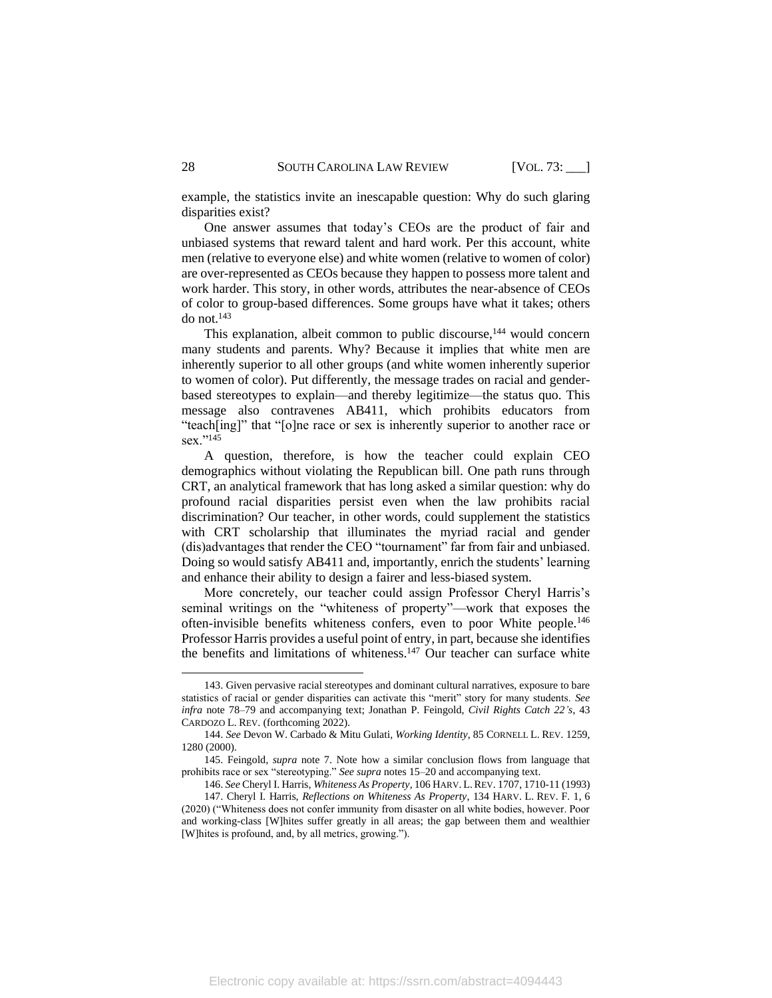example, the statistics invite an inescapable question: Why do such glaring disparities exist?

One answer assumes that today's CEOs are the product of fair and unbiased systems that reward talent and hard work. Per this account, white men (relative to everyone else) and white women (relative to women of color) are over-represented as CEOs because they happen to possess more talent and work harder. This story, in other words, attributes the near-absence of CEOs of color to group-based differences. Some groups have what it takes; others do not.<sup>143</sup>

This explanation, albeit common to public discourse,<sup>144</sup> would concern many students and parents. Why? Because it implies that white men are inherently superior to all other groups (and white women inherently superior to women of color). Put differently, the message trades on racial and genderbased stereotypes to explain—and thereby legitimize—the status quo. This message also contravenes AB411, which prohibits educators from "teach[ing]" that "[o]ne race or sex is inherently superior to another race or sex."<sup>145</sup>

A question, therefore, is how the teacher could explain CEO demographics without violating the Republican bill. One path runs through CRT, an analytical framework that has long asked a similar question: why do profound racial disparities persist even when the law prohibits racial discrimination? Our teacher, in other words, could supplement the statistics with CRT scholarship that illuminates the myriad racial and gender (dis)advantages that render the CEO "tournament" far from fair and unbiased. Doing so would satisfy AB411 and, importantly, enrich the students' learning and enhance their ability to design a fairer and less-biased system.

More concretely, our teacher could assign Professor Cheryl Harris's seminal writings on the "whiteness of property"—work that exposes the often-invisible benefits whiteness confers, even to poor White people.<sup>146</sup> Professor Harris provides a useful point of entry, in part, because she identifies the benefits and limitations of whiteness. $147$  Our teacher can surface white

<sup>143.</sup> Given pervasive racial stereotypes and dominant cultural narratives, exposure to bare statistics of racial or gender disparities can activate this "merit" story for many students. *See infra* note [78](#page-17-1)[–79](#page-17-2) and accompanying text; Jonathan P. Feingold, *Civil Rights Catch 22's*, 43 CARDOZO L. REV. (forthcoming 2022).

<sup>144.</sup> *See* Devon W. Carbado & Mitu Gulati, *Working Identity*, 85 CORNELL L. REV. 1259, 1280 (2000).

<sup>145.</sup> Feingold, *supra* note [7.](#page-3-1) Note how a similar conclusion flows from language that prohibits race or sex "stereotyping." *See supra* note[s 15](#page-4-1)[–20](#page-6-0) and accompanying text.

<sup>146.</sup> *See* Cheryl I. Harris, *Whiteness As Property*, 106 HARV. L.REV. 1707, 1710-11 (1993) 147. Cheryl I. Harris, *Reflections on Whiteness As Property*, 134 HARV. L. REV. F. 1, 6 (2020) ("Whiteness does not confer immunity from disaster on all white bodies, however. Poor and working-class [W]hites suffer greatly in all areas; the gap between them and wealthier [W]hites is profound, and, by all metrics, growing.").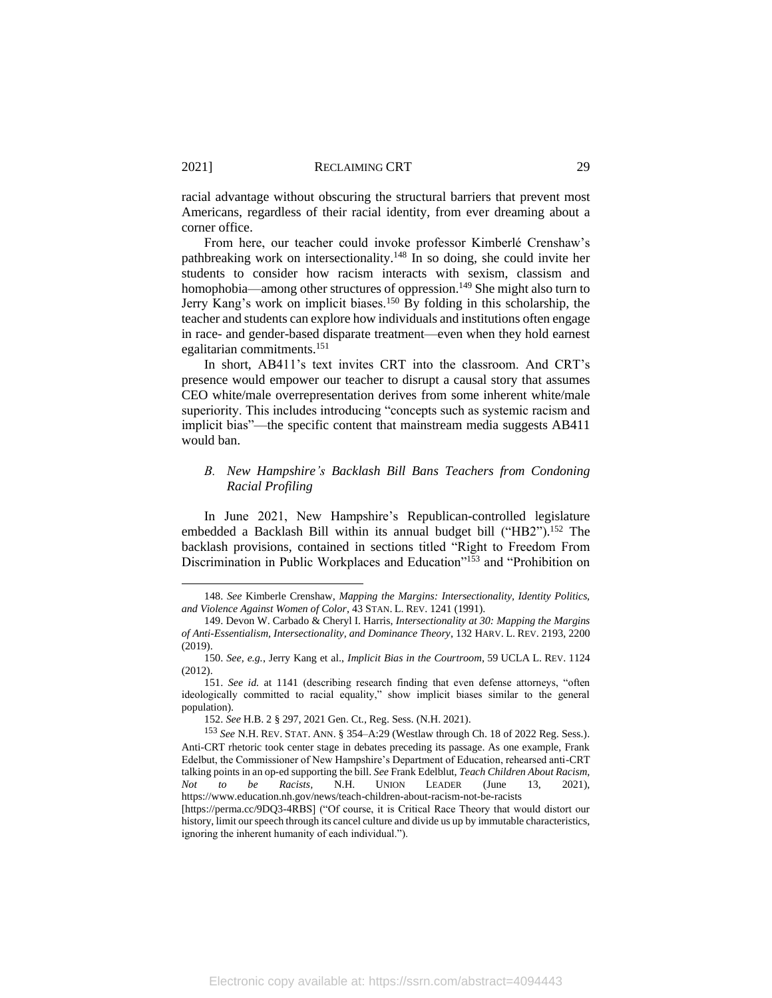racial advantage without obscuring the structural barriers that prevent most Americans, regardless of their racial identity, from ever dreaming about a corner office.

From here, our teacher could invoke professor Kimberlé Crenshaw's pathbreaking work on intersectionality.<sup>148</sup> In so doing, she could invite her students to consider how racism interacts with sexism, classism and homophobia—among other structures of oppression.<sup>149</sup> She might also turn to Jerry Kang's work on implicit biases.<sup>150</sup> By folding in this scholarship, the teacher and students can explore how individuals and institutions often engage in race- and gender-based disparate treatment—even when they hold earnest egalitarian commitments.<sup>151</sup>

In short, AB411's text invites CRT into the classroom. And CRT's presence would empower our teacher to disrupt a causal story that assumes CEO white/male overrepresentation derives from some inherent white/male superiority. This includes introducing "concepts such as systemic racism and implicit bias"—the specific content that mainstream media suggests AB411 would ban.

# *B. New Hampshire's Backlash Bill Bans Teachers from Condoning Racial Profiling*

In June 2021, New Hampshire's Republican-controlled legislature embedded a Backlash Bill within its annual budget bill ("HB2").<sup>152</sup> The backlash provisions, contained in sections titled "Right to Freedom From Discrimination in Public Workplaces and Education"<sup>153</sup> and "Prohibition on

<sup>148.</sup> *See* Kimberle Crenshaw, *Mapping the Margins: Intersectionality, Identity Politics, and Violence Against Women of Color*, 43 STAN. L. REV. 1241 (1991).

<sup>149.</sup> Devon W. Carbado & Cheryl I. Harris, *Intersectionality at 30: Mapping the Margins of Anti-Essentialism, Intersectionality, and Dominance Theory*, 132 HARV. L. REV. 2193, 2200 (2019).

<sup>150.</sup> *See, e.g.*, Jerry Kang et al., *Implicit Bias in the Courtroom*, 59 UCLA L. REV. 1124  $(2012)$ 

<sup>151.</sup> *See id.* at 1141 (describing research finding that even defense attorneys, "often ideologically committed to racial equality," show implicit biases similar to the general population).

<sup>152.</sup> *See* H.B. 2 § 297, 2021 Gen. Ct., Reg. Sess. (N.H. 2021).

<sup>153</sup> *See* N.H. REV. STAT. ANN. § 354–A:29 (Westlaw through Ch. 18 of 2022 Reg. Sess.). Anti-CRT rhetoric took center stage in debates preceding its passage. As one example, Frank Edelbut, the Commissioner of New Hampshire's Department of Education, rehearsed anti-CRT talking points in an op-ed supporting the bill. *See* Frank Edelblut, *Teach Children About Racism, Not to be Racists,* N.H. UNION LEADER (June 13, 2021), https://www.education.nh.gov/news/teach-children-about-racism-not-be-racists

<sup>[</sup>https://perma.cc/9DQ3-4RBS] ("Of course, it is Critical Race Theory that would distort our history, limit our speech through its cancel culture and divide us up by immutable characteristics, ignoring the inherent humanity of each individual.").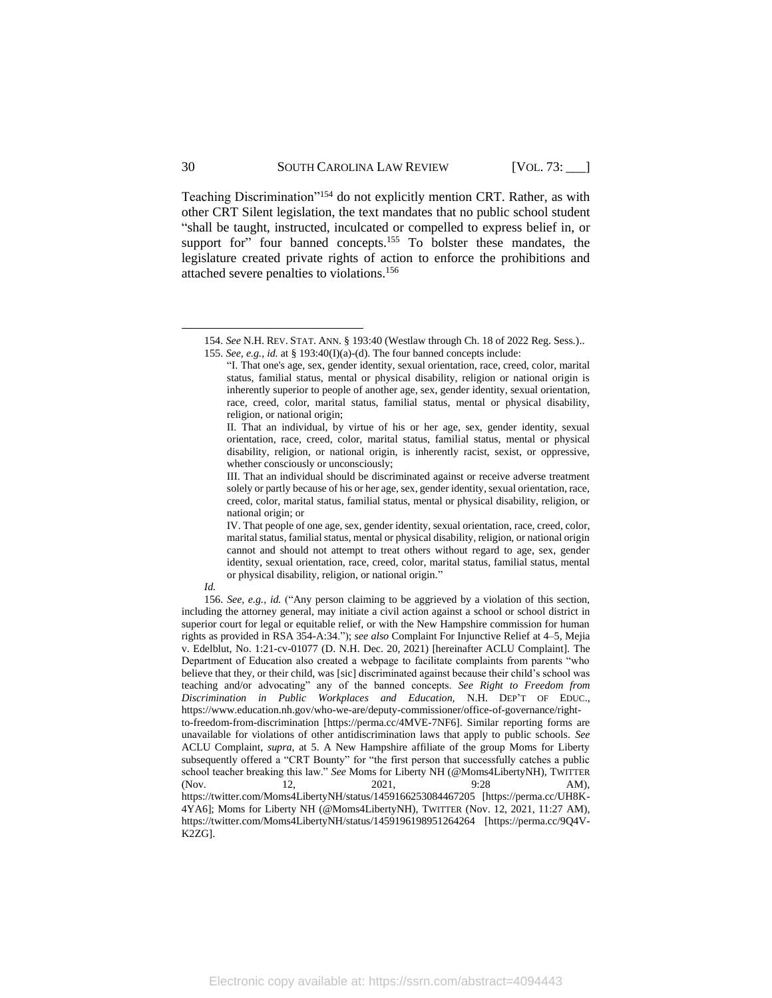Teaching Discrimination"<sup>154</sup> do not explicitly mention CRT. Rather, as with other CRT Silent legislation, the text mandates that no public school student "shall be taught, instructed, inculcated or compelled to express belief in, or support for" four banned concepts.<sup>155</sup> To bolster these mandates, the legislature created private rights of action to enforce the prohibitions and attached severe penalties to violations.<sup>156</sup>

*Id.*

<sup>154.</sup> *See* N.H. REV. STAT. ANN. § 193:40 (Westlaw through Ch. 18 of 2022 Reg. Sess.).. 155. *See, e.g.*, *id.* at § 193:40(I)(a)-(d). The four banned concepts include:

<span id="page-30-0"></span><sup>&</sup>quot;I. That one's age, sex, gender identity, sexual orientation, race, creed, color, marital status, familial status, mental or physical disability, religion or national origin is inherently superior to people of another age, sex, gender identity, sexual orientation, race, creed, color, marital status, familial status, mental or physical disability, religion, or national origin;

II. That an individual, by virtue of his or her age, sex, gender identity, sexual orientation, race, creed, color, marital status, familial status, mental or physical disability, religion, or national origin, is inherently racist, sexist, or oppressive, whether consciously or unconsciously;

III. That an individual should be discriminated against or receive adverse treatment solely or partly because of his or her age, sex, gender identity, sexual orientation, race, creed, color, marital status, familial status, mental or physical disability, religion, or national origin; or

IV. That people of one age, sex, gender identity, sexual orientation, race, creed, color, marital status, familial status, mental or physical disability, religion, or national origin cannot and should not attempt to treat others without regard to age, sex, gender identity, sexual orientation, race, creed, color, marital status, familial status, mental or physical disability, religion, or national origin."

<sup>156.</sup> *See, e.g.*, *id.* ("Any person claiming to be aggrieved by a violation of this section, including the attorney general, may initiate a civil action against a school or school district in superior court for legal or equitable relief, or with the New Hampshire commission for human rights as provided in RSA 354-A:34."); *see also* Complaint For Injunctive Relief at 4–5, Mejia v. Edelblut, No. 1:21-cv-01077 (D. N.H. Dec. 20, 2021) [hereinafter ACLU Complaint]. The Department of Education also created a webpage to facilitate complaints from parents "who believe that they, or their child, was [sic] discriminated against because their child's school was teaching and/or advocating" any of the banned concepts. *See Right to Freedom from Discrimination in Public Workplaces and Education,* N.H. DEP'T OF EDUC., https://www.education.nh.gov/who-we-are/deputy-commissioner/office-of-governance/rightto-freedom-from-discrimination [https://perma.cc/4MVE-7NF6]. Similar reporting forms are unavailable for violations of other antidiscrimination laws that apply to public schools. *See*  ACLU Complaint, *supra*, at 5. A New Hampshire affiliate of the group Moms for Liberty subsequently offered a "CRT Bounty" for "the first person that successfully catches a public school teacher breaking this law." *See* Moms for Liberty NH (@Moms4LibertyNH), TWITTER (Nov. 12, 2021, 9:28 AM), https://twitter.com/Moms4LibertyNH/status/1459166253084467205 [https://perma.cc/UH8K-4YA6]; Moms for Liberty NH (@Moms4LibertyNH), TWITTER (Nov. 12, 2021, 11:27 AM), https://twitter.com/Moms4LibertyNH/status/1459196198951264264 [https://perma.cc/9Q4V-K2ZG].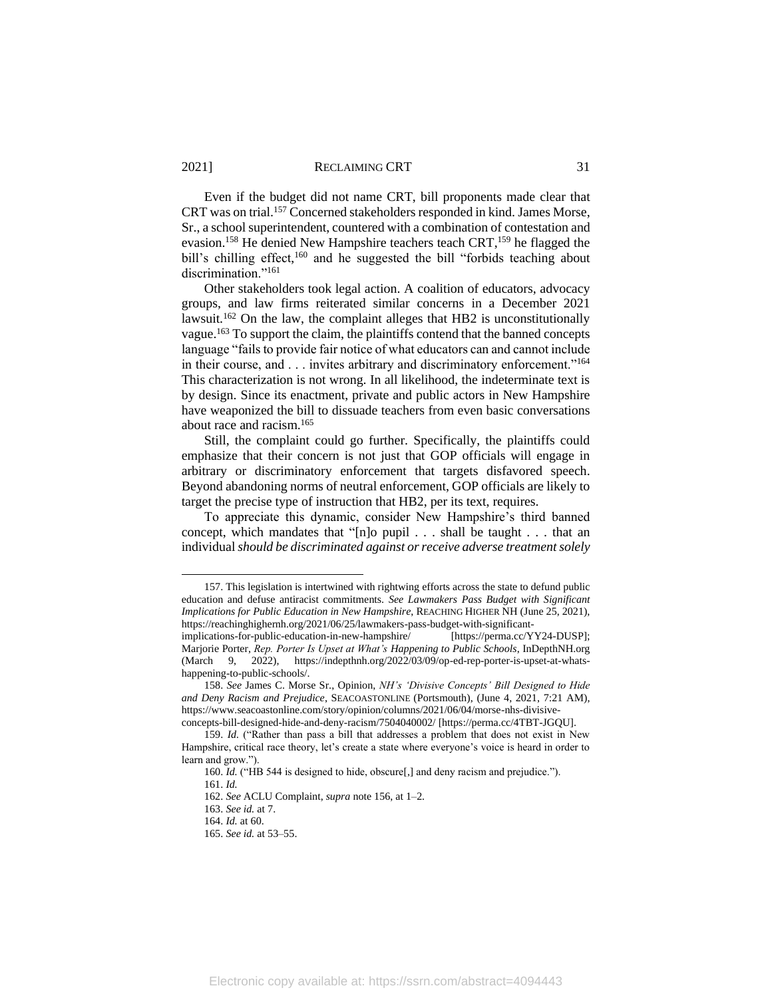Even if the budget did not name CRT, bill proponents made clear that CRT was on trial.<sup>157</sup> Concerned stakeholders responded in kind. James Morse, Sr., a school superintendent, countered with a combination of contestation and evasion.<sup>158</sup> He denied New Hampshire teachers teach CRT,<sup>159</sup> he flagged the bill's chilling effect,<sup>160</sup> and he suggested the bill "forbids teaching about discrimination."<sup>161</sup>

Other stakeholders took legal action. A coalition of educators, advocacy groups, and law firms reiterated similar concerns in a December 2021 lawsuit.<sup>162</sup> On the law, the complaint alleges that HB2 is unconstitutionally vague.<sup>163</sup> To support the claim, the plaintiffs contend that the banned concepts language "fails to provide fair notice of what educators can and cannot include in their course, and . . . invites arbitrary and discriminatory enforcement."<sup>164</sup> This characterization is not wrong. In all likelihood, the indeterminate text is by design. Since its enactment, private and public actors in New Hampshire have weaponized the bill to dissuade teachers from even basic conversations about race and racism.<sup>165</sup>

Still, the complaint could go further. Specifically, the plaintiffs could emphasize that their concern is not just that GOP officials will engage in arbitrary or discriminatory enforcement that targets disfavored speech. Beyond abandoning norms of neutral enforcement, GOP officials are likely to target the precise type of instruction that HB2, per its text, requires.

To appreciate this dynamic, consider New Hampshire's third banned concept, which mandates that "[n]o pupil . . . shall be taught . . . that an individual *should be discriminated against or receive adverse treatment solely* 

157. This legislation is intertwined with rightwing efforts across the state to defund public education and defuse antiracist commitments. *See Lawmakers Pass Budget with Significant Implications for Public Education in New Hampshire*, REACHING HIGHER NH (June 25, 2021), https://reachinghighernh.org/2021/06/25/lawmakers-pass-budget-with-significant-

implications-for-public-education-in-new-hampshire/ [https://perma.cc/YY24-DUSP]; Marjorie Porter, *Rep. Porter Is Upset at What's Happening to Public Schools*, InDepthNH.org (March 9, 2022), https://indepthnh.org/2022/03/09/op-ed-rep-porter-is-upset-at-whatshappening-to-public-schools/.

<sup>158.</sup> *See* James C. Morse Sr., Opinion, *NH's 'Divisive Concepts' Bill Designed to Hide and Deny Racism and Prejudice*, SEACOASTONLINE (Portsmouth), (June 4, 2021, 7:21 AM), https://www.seacoastonline.com/story/opinion/columns/2021/06/04/morse-nhs-divisiveconcepts-bill-designed-hide-and-deny-racism/7504040002/ [https://perma.cc/4TBT-JGQU].

<sup>159.</sup> *Id.* ("Rather than pass a bill that addresses a problem that does not exist in New Hampshire, critical race theory, let's create a state where everyone's voice is heard in order to learn and grow."

<sup>160.</sup> *Id.* ("HB 544 is designed to hide, obscure[,] and deny racism and prejudice.").

<sup>161.</sup> *Id.*

<sup>162.</sup> *See* ACLU Complaint, *supra* not[e 156,](#page-30-0) at 1–2.

<sup>163.</sup> *See id.* at 7.

<sup>164.</sup> *Id.* at 60.

<sup>165.</sup> *See id.* at 53–55.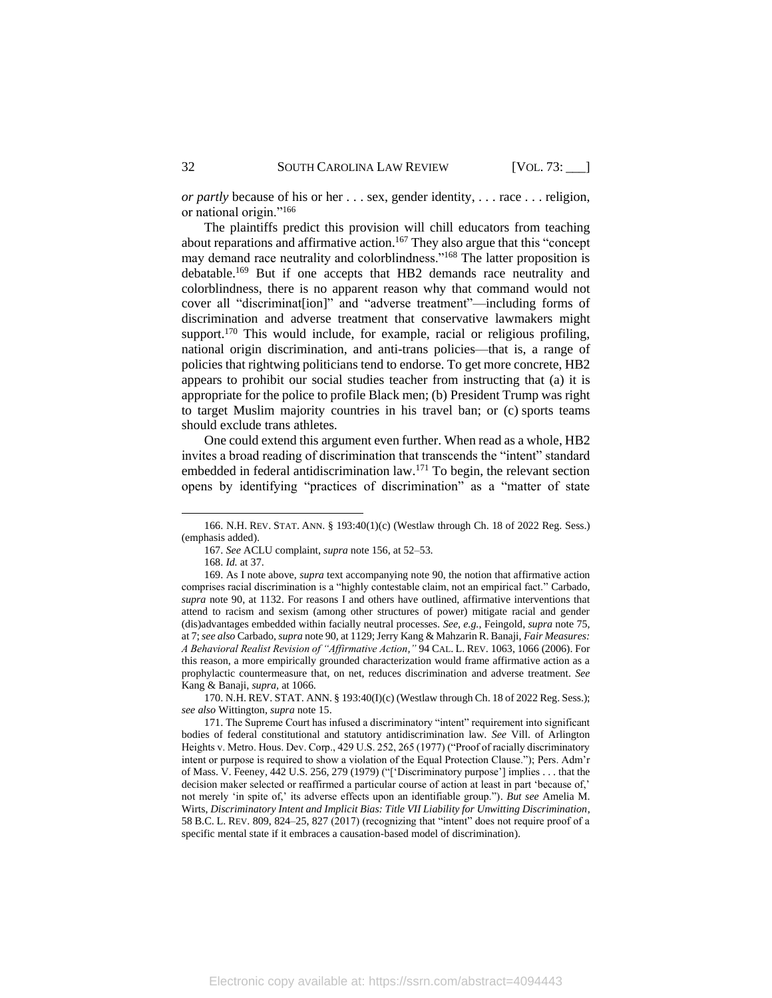*or partly* because of his or her . . . sex, gender identity, . . . race . . . religion, or national origin."<sup>166</sup>

The plaintiffs predict this provision will chill educators from teaching about reparations and affirmative action.<sup>167</sup> They also argue that this "concept may demand race neutrality and colorblindness."<sup>168</sup> The latter proposition is debatable.<sup>169</sup> But if one accepts that HB2 demands race neutrality and colorblindness, there is no apparent reason why that command would not cover all "discriminat[ion]" and "adverse treatment"—including forms of discrimination and adverse treatment that conservative lawmakers might support.<sup>170</sup> This would include, for example, racial or religious profiling, national origin discrimination, and anti-trans policies—that is, a range of policies that rightwing politicians tend to endorse. To get more concrete, HB2 appears to prohibit our social studies teacher from instructing that (a) it is appropriate for the police to profile Black men; (b) President Trump was right to target Muslim majority countries in his travel ban; or (c) sports teams should exclude trans athletes.

One could extend this argument even further. When read as a whole, HB2 invites a broad reading of discrimination that transcends the "intent" standard embedded in federal antidiscrimination law.<sup>171</sup> To begin, the relevant section opens by identifying "practices of discrimination" as a "matter of state

<sup>166.</sup> N.H. REV. STAT. ANN. § 193:40(1)(c) (Westlaw through Ch. 18 of 2022 Reg. Sess.) (emphasis added).

<sup>167.</sup> *See* ACLU complaint, *supra* not[e 156,](#page-30-0) at 52–53.

<sup>168.</sup> *Id.* at 37.

<sup>169.</sup> As I note above, *supra* text accompanying not[e 90,](#page-19-1) the notion that affirmative action comprises racial discrimination is a "highly contestable claim, not an empirical fact." Carbado, *supra* note [90,](#page-19-1) at 1132. For reasons I and others have outlined, affirmative interventions that attend to racism and sexism (among other structures of power) mitigate racial and gender (dis)advantages embedded within facially neutral processes. *See, e.g.*, Feingold, *supra* not[e 75,](#page-17-0) at 7; *see also* Carbado, *supra* not[e 90,](#page-19-1) at 1129;Jerry Kang & Mahzarin R. Banaji, *Fair Measures: A Behavioral Realist Revision of "Affirmative Action,"* 94 CAL. L. REV. 1063, 1066 (2006). For this reason, a more empirically grounded characterization would frame affirmative action as a prophylactic countermeasure that, on net, reduces discrimination and adverse treatment. *See*  Kang & Banaji, *supra,* at 1066.

<sup>170.</sup> N.H. REV. STAT. ANN. § 193:40(I)(c) (Westlaw through Ch. 18 of 2022 Reg. Sess.); *see also* Wittington, *supra* note 15.

<sup>171.</sup> The Supreme Court has infused a discriminatory "intent" requirement into significant bodies of federal constitutional and statutory antidiscrimination law. *See* Vill. of Arlington Heights v. Metro. Hous. Dev. Corp., 429 U.S. 252, 265 (1977) ("Proof of racially discriminatory intent or purpose is required to show a violation of the Equal Protection Clause."); Pers. Adm'r of Mass. V. Feeney, 442 U.S. 256, 279 (1979) ("['Discriminatory purpose'] implies . . . that the decision maker selected or reaffirmed a particular course of action at least in part 'because of,' not merely 'in spite of,' its adverse effects upon an identifiable group."). *But see* Amelia M. Wirts, *Discriminatory Intent and Implicit Bias: Title VII Liability for Unwitting Discrimination*, 58 B.C. L. REV. 809, 824–25, 827 (2017) (recognizing that "intent" does not require proof of a specific mental state if it embraces a causation-based model of discrimination).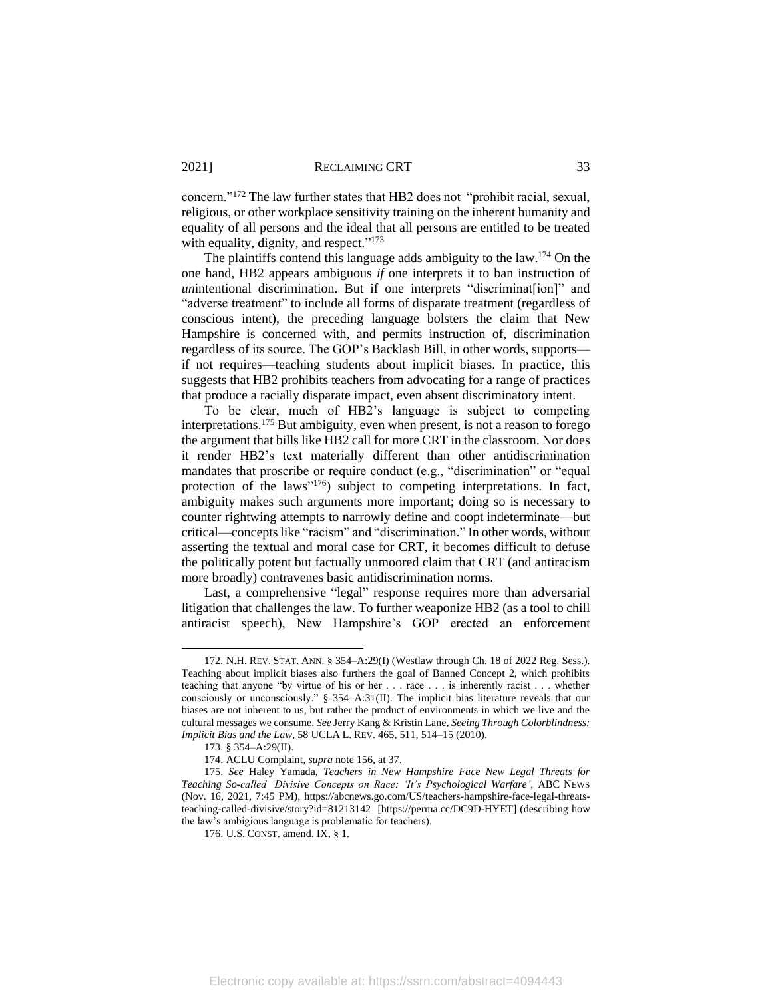concern."<sup>172</sup> The law further states that HB2 does not "prohibit racial, sexual, religious, or other workplace sensitivity training on the inherent humanity and equality of all persons and the ideal that all persons are entitled to be treated with equality, dignity, and respect."<sup>173</sup>

The plaintiffs contend this language adds ambiguity to the law.<sup>174</sup> On the one hand, HB2 appears ambiguous *if* one interprets it to ban instruction of *un*intentional discrimination. But if one interprets "discriminat[ion]" and "adverse treatment" to include all forms of disparate treatment (regardless of conscious intent), the preceding language bolsters the claim that New Hampshire is concerned with, and permits instruction of, discrimination regardless of its source. The GOP's Backlash Bill, in other words, supports if not requires—teaching students about implicit biases. In practice, this suggests that HB2 prohibits teachers from advocating for a range of practices that produce a racially disparate impact, even absent discriminatory intent.

<span id="page-33-0"></span>To be clear, much of HB2's language is subject to competing interpretations.<sup>175</sup> But ambiguity, even when present, is not a reason to forego the argument that bills like HB2 call for more CRT in the classroom. Nor does it render HB2's text materially different than other antidiscrimination mandates that proscribe or require conduct (e.g., "discrimination" or "equal protection of the laws"<sup>176</sup>) subject to competing interpretations. In fact, ambiguity makes such arguments more important; doing so is necessary to counter rightwing attempts to narrowly define and coopt indeterminate—but critical—concepts like "racism" and "discrimination." In other words, without asserting the textual and moral case for CRT, it becomes difficult to defuse the politically potent but factually unmoored claim that CRT (and antiracism more broadly) contravenes basic antidiscrimination norms.

Last, a comprehensive "legal" response requires more than adversarial litigation that challenges the law. To further weaponize HB2 (as a tool to chill antiracist speech), New Hampshire's GOP erected an enforcement

<sup>172.</sup> N.H. REV. STAT. ANN. § 354–A:29(I) (Westlaw through Ch. 18 of 2022 Reg. Sess.). Teaching about implicit biases also furthers the goal of Banned Concept 2, which prohibits teaching that anyone "by virtue of his or her . . . race . . . is inherently racist . . . whether consciously or unconsciously." § 354–A:31(II). The implicit bias literature reveals that our biases are not inherent to us, but rather the product of environments in which we live and the cultural messages we consume. *See* Jerry Kang & Kristin Lane, *Seeing Through Colorblindness: Implicit Bias and the Law*, 58 UCLA L. REV. 465, 511, 514–15 (2010).

<sup>173.</sup> § 354–A:29(II).

<sup>174.</sup> ACLU Complaint, *supra* not[e 156,](#page-30-0) at 37.

<sup>175.</sup> *See* Haley Yamada, *Teachers in New Hampshire Face New Legal Threats for Teaching So-called 'Divisive Concepts on Race: 'It's Psychological Warfare'*, ABC NEWS (Nov. 16, 2021, 7:45 PM), https://abcnews.go.com/US/teachers-hampshire-face-legal-threatsteaching-called-divisive/story?id=81213142 [https://perma.cc/DC9D-HYET] (describing how the law's ambigious language is problematic for teachers).

<sup>176.</sup> U.S. CONST. amend. IX, § 1.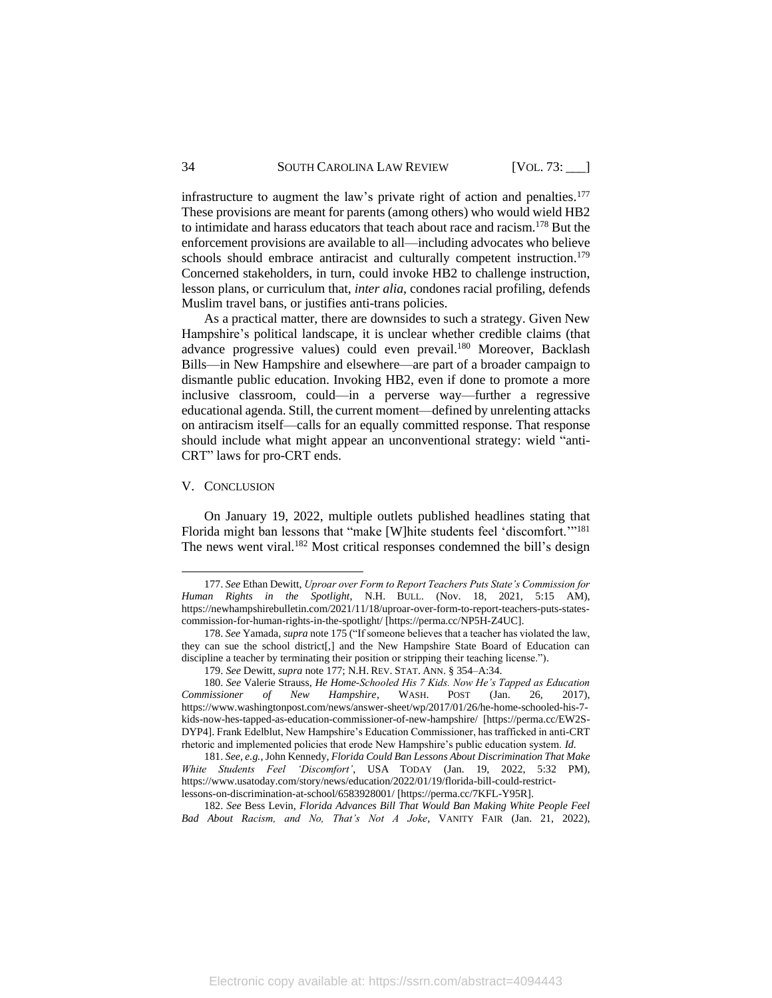infrastructure to augment the law's private right of action and penalties. 177 These provisions are meant for parents (among others) who would wield HB2 to intimidate and harass educators that teach about race and racism.<sup>178</sup> But the enforcement provisions are available to all—including advocates who believe schools should embrace antiracist and culturally competent instruction.<sup>179</sup> Concerned stakeholders, in turn, could invoke HB2 to challenge instruction, lesson plans, or curriculum that, *inter alia*, condones racial profiling, defends Muslim travel bans, or justifies anti-trans policies.

As a practical matter, there are downsides to such a strategy. Given New Hampshire's political landscape, it is unclear whether credible claims (that advance progressive values) could even prevail.<sup>180</sup> Moreover, Backlash Bills—in New Hampshire and elsewhere—are part of a broader campaign to dismantle public education. Invoking HB2, even if done to promote a more inclusive classroom, could—in a perverse way—further a regressive educational agenda. Still, the current moment—defined by unrelenting attacks on antiracism itself—calls for an equally committed response. That response should include what might appear an unconventional strategy: wield "anti-CRT" laws for pro-CRT ends.

## V. CONCLUSION

On January 19, 2022, multiple outlets published headlines stating that Florida might ban lessons that "make [W]hite students feel 'discomfort."<sup>181</sup> The news went viral.<sup>182</sup> Most critical responses condemned the bill's design

182. *See* Bess Levin, *Florida Advances Bill That Would Ban Making White People Feel Bad About Racism, and No, That's Not A Joke*, VANITY FAIR (Jan. 21, 2022),

<span id="page-34-0"></span>

<sup>177.</sup> *See* Ethan Dewitt, *Uproar over Form to Report Teachers Puts State's Commission for Human Rights in the Spotlight*, N.H. BULL. (Nov. 18, 2021, 5:15 AM), https://newhampshirebulletin.com/2021/11/18/uproar-over-form-to-report-teachers-puts-statescommission-for-human-rights-in-the-spotlight/ [https://perma.cc/NP5H-Z4UC].

<sup>178.</sup> *See* Yamada, *supra* not[e 175](#page-33-0) ("If someone believes that a teacher has violated the law, they can sue the school district[,] and the New Hampshire State Board of Education can discipline a teacher by terminating their position or stripping their teaching license.").

<sup>179.</sup> *See* Dewitt, *supra* not[e 177;](#page-34-0) N.H. REV. STAT. ANN. § 354–A:34.

<sup>180.</sup> *See* Valerie Strauss, *He Home-Schooled His 7 Kids. Now He's Tapped as Education Commissioner of New Hampshire*, WASH. POST (Jan. 26, 2017), https://www.washingtonpost.com/news/answer-sheet/wp/2017/01/26/he-home-schooled-his-7 kids-now-hes-tapped-as-education-commissioner-of-new-hampshire/ [https://perma.cc/EW2S-DYP4]. Frank Edelblut, New Hampshire's Education Commissioner, has trafficked in anti-CRT rhetoric and implemented policies that erode New Hampshire's public education system. *Id.*

<sup>181.</sup> *See, e.g.*, John Kennedy, *Florida Could Ban Lessons About Discrimination That Make White Students Feel 'Discomfort'*, USA TODAY (Jan. 19, 2022, 5:32 PM), https://www.usatoday.com/story/news/education/2022/01/19/florida-bill-could-restrictlessons-on-discrimination-at-school/6583928001/ [https://perma.cc/7KFL-Y95R].